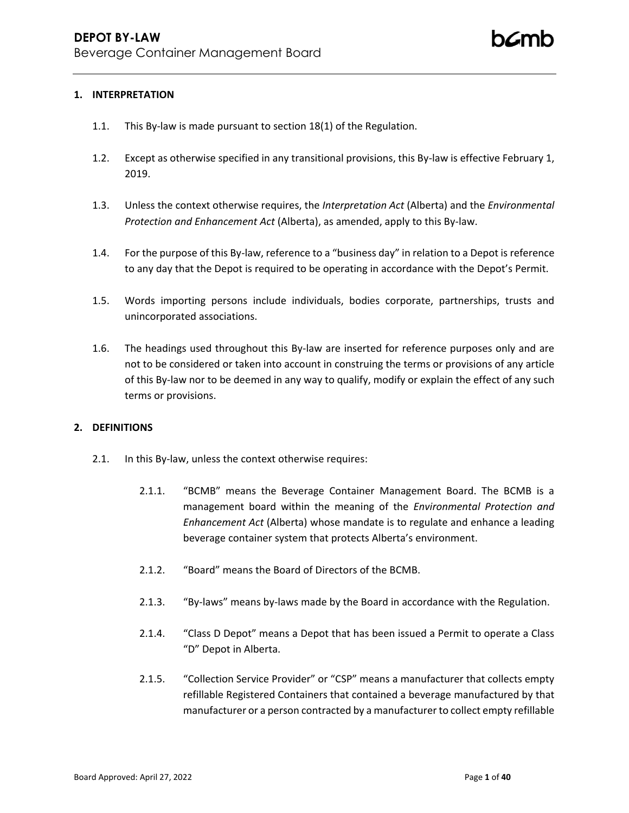## **1. INTERPRETATION**

- 1.1. This By-law is made pursuant to section 18(1) of the Regulation.
- 1.2. Except as otherwise specified in any transitional provisions, this By-law is effective February 1, 2019.
- 1.3. Unless the context otherwise requires, the *Interpretation Act* (Alberta) and the *Environmental Protection and Enhancement Act* (Alberta), as amended, apply to this By-law.
- 1.4. For the purpose of this By-law, reference to a "business day" in relation to a Depot is reference to any day that the Depot is required to be operating in accordance with the Depot's Permit.
- 1.5. Words importing persons include individuals, bodies corporate, partnerships, trusts and unincorporated associations.
- 1.6. The headings used throughout this By-law are inserted for reference purposes only and are not to be considered or taken into account in construing the terms or provisions of any article of this By-law nor to be deemed in any way to qualify, modify or explain the effect of any such terms or provisions.

### **2. DEFINITIONS**

- 2.1. In this By-law, unless the context otherwise requires:
	- 2.1.1. "BCMB" means the Beverage Container Management Board. The BCMB is a management board within the meaning of the *Environmental Protection and Enhancement Act* (Alberta) whose mandate is to regulate and enhance a leading beverage container system that protects Alberta's environment.
	- 2.1.2. "Board" means the Board of Directors of the BCMB.
	- 2.1.3. "By-laws" means by-laws made by the Board in accordance with the Regulation.
	- 2.1.4. "Class D Depot" means a Depot that has been issued a Permit to operate a Class "D" Depot in Alberta.
	- 2.1.5. "Collection Service Provider" or "CSP" means a manufacturer that collects empty refillable Registered Containers that contained a beverage manufactured by that manufacturer or a person contracted by a manufacturer to collect empty refillable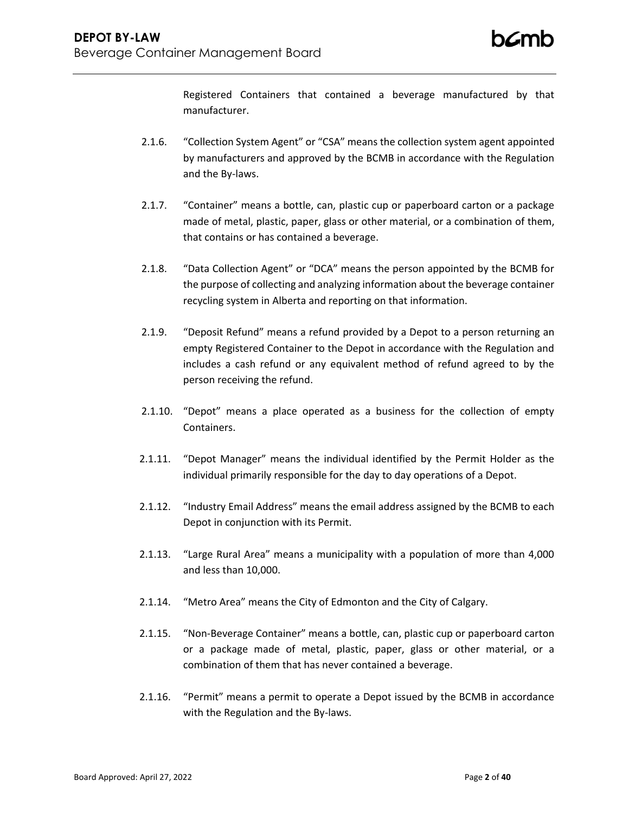Registered Containers that contained a beverage manufactured by that manufacturer.

- 2.1.6. "Collection System Agent" or "CSA" means the collection system agent appointed by manufacturers and approved by the BCMB in accordance with the Regulation and the By-laws.
- 2.1.7. "Container" means a bottle, can, plastic cup or paperboard carton or a package made of metal, plastic, paper, glass or other material, or a combination of them, that contains or has contained a beverage.
- 2.1.8. "Data Collection Agent" or "DCA" means the person appointed by the BCMB for the purpose of collecting and analyzing information about the beverage container recycling system in Alberta and reporting on that information.
- 2.1.9. "Deposit Refund" means a refund provided by a Depot to a person returning an empty Registered Container to the Depot in accordance with the Regulation and includes a cash refund or any equivalent method of refund agreed to by the person receiving the refund.
- 2.1.10. "Depot" means a place operated as a business for the collection of empty Containers.
- 2.1.11. "Depot Manager" means the individual identified by the Permit Holder as the individual primarily responsible for the day to day operations of a Depot.
- 2.1.12. "Industry Email Address" means the email address assigned by the BCMB to each Depot in conjunction with its Permit.
- 2.1.13. "Large Rural Area" means a municipality with a population of more than 4,000 and less than 10,000.
- 2.1.14. "Metro Area" means the City of Edmonton and the City of Calgary.
- 2.1.15. "Non-Beverage Container" means a bottle, can, plastic cup or paperboard carton or a package made of metal, plastic, paper, glass or other material, or a combination of them that has never contained a beverage.
- 2.1.16. "Permit" means a permit to operate a Depot issued by the BCMB in accordance with the Regulation and the By-laws.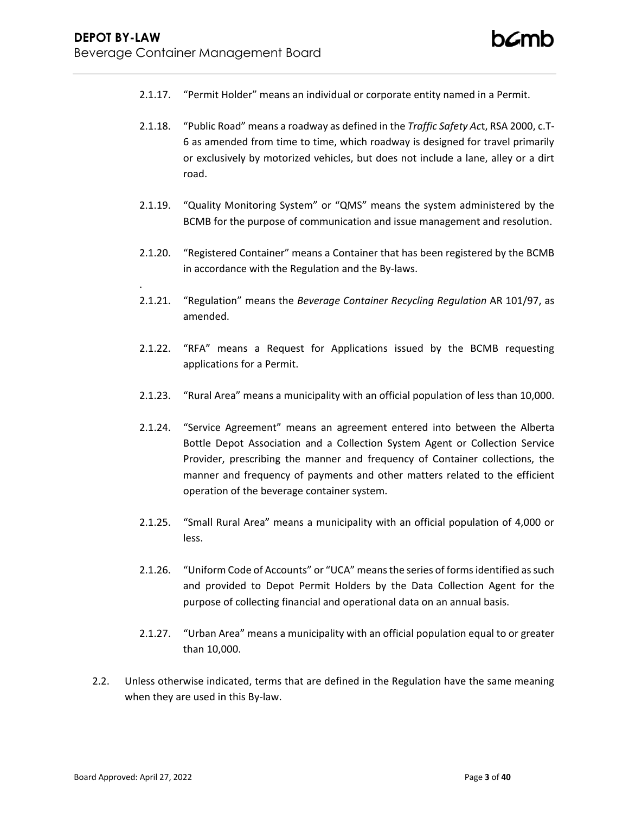- 2.1.17. "Permit Holder" means an individual or corporate entity named in a Permit.
- 2.1.18. "Public Road" means a roadway as defined in the *Traffic Safety Ac*t, RSA 2000, c.T-6 as amended from time to time, which roadway is designed for travel primarily or exclusively by motorized vehicles, but does not include a lane, alley or a dirt road.
- 2.1.19. "Quality Monitoring System" or "QMS" means the system administered by the BCMB for the purpose of communication and issue management and resolution.
- 2.1.20. "Registered Container" means a Container that has been registered by the BCMB in accordance with the Regulation and the By-laws.
- 2.1.21. "Regulation" means the *Beverage Container Recycling Regulation* AR 101/97, as amended.
- 2.1.22. "RFA" means a Request for Applications issued by the BCMB requesting applications for a Permit.
- 2.1.23. "Rural Area" means a municipality with an official population of less than 10,000.
- 2.1.24. "Service Agreement" means an agreement entered into between the Alberta Bottle Depot Association and a Collection System Agent or Collection Service Provider, prescribing the manner and frequency of Container collections, the manner and frequency of payments and other matters related to the efficient operation of the beverage container system.
- 2.1.25. "Small Rural Area" means a municipality with an official population of 4,000 or less.
- 2.1.26. "Uniform Code of Accounts" or "UCA" means the series of forms identified as such and provided to Depot Permit Holders by the Data Collection Agent for the purpose of collecting financial and operational data on an annual basis.
- 2.1.27. "Urban Area" means a municipality with an official population equal to or greater than 10,000.
- 2.2. Unless otherwise indicated, terms that are defined in the Regulation have the same meaning when they are used in this By-law.

.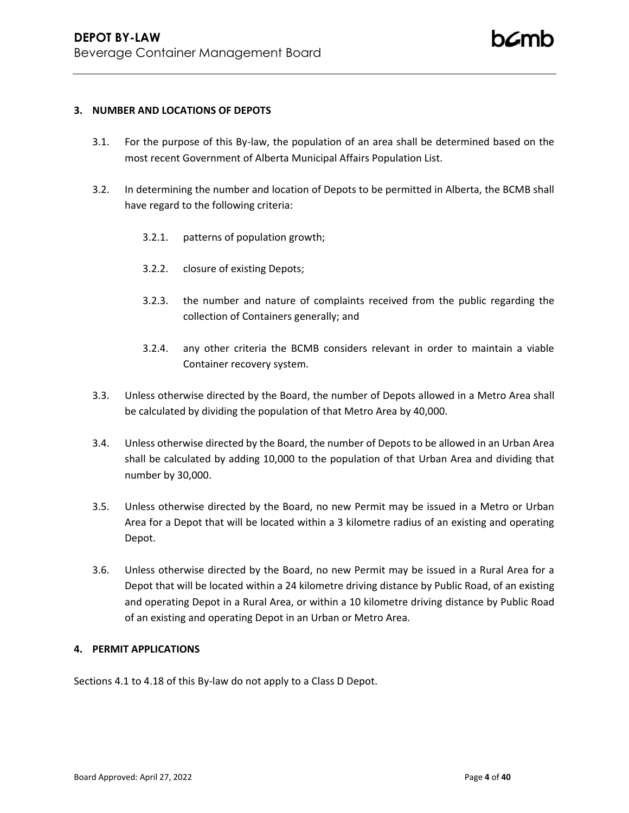### **3. NUMBER AND LOCATIONS OF DEPOTS**

- 3.1. For the purpose of this By-law, the population of an area shall be determined based on the most recent Government of Alberta Municipal Affairs Population List.
- 3.2. In determining the number and location of Depots to be permitted in Alberta, the BCMB shall have regard to the following criteria:
	- 3.2.1. patterns of population growth;
	- 3.2.2. closure of existing Depots;
	- 3.2.3. the number and nature of complaints received from the public regarding the collection of Containers generally; and
	- 3.2.4. any other criteria the BCMB considers relevant in order to maintain a viable Container recovery system.
- 3.3. Unless otherwise directed by the Board, the number of Depots allowed in a Metro Area shall be calculated by dividing the population of that Metro Area by 40,000.
- 3.4. Unless otherwise directed by the Board, the number of Depots to be allowed in an Urban Area shall be calculated by adding 10,000 to the population of that Urban Area and dividing that number by 30,000.
- 3.5. Unless otherwise directed by the Board, no new Permit may be issued in a Metro or Urban Area for a Depot that will be located within a 3 kilometre radius of an existing and operating Depot.
- 3.6. Unless otherwise directed by the Board, no new Permit may be issued in a Rural Area for a Depot that will be located within a 24 kilometre driving distance by Public Road, of an existing and operating Depot in a Rural Area, or within a 10 kilometre driving distance by Public Road of an existing and operating Depot in an Urban or Metro Area.

## **4. PERMIT APPLICATIONS**

Sections 4.1 to 4.18 of this By-law do not apply to a Class D Depot.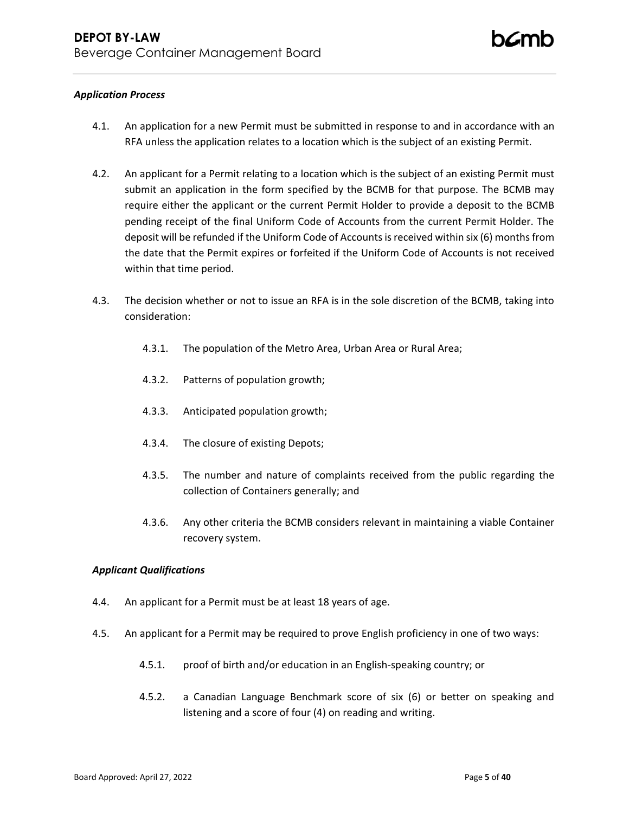## *Application Process*

- 4.1. An application for a new Permit must be submitted in response to and in accordance with an RFA unless the application relates to a location which is the subject of an existing Permit.
- 4.2. An applicant for a Permit relating to a location which is the subject of an existing Permit must submit an application in the form specified by the BCMB for that purpose. The BCMB may require either the applicant or the current Permit Holder to provide a deposit to the BCMB pending receipt of the final Uniform Code of Accounts from the current Permit Holder. The deposit will be refunded if the Uniform Code of Accounts is received within six (6) months from the date that the Permit expires or forfeited if the Uniform Code of Accounts is not received within that time period.
- 4.3. The decision whether or not to issue an RFA is in the sole discretion of the BCMB, taking into consideration:
	- 4.3.1. The population of the Metro Area, Urban Area or Rural Area;
	- 4.3.2. Patterns of population growth;
	- 4.3.3. Anticipated population growth;
	- 4.3.4. The closure of existing Depots;
	- 4.3.5. The number and nature of complaints received from the public regarding the collection of Containers generally; and
	- 4.3.6. Any other criteria the BCMB considers relevant in maintaining a viable Container recovery system.

## *Applicant Qualifications*

- 4.4. An applicant for a Permit must be at least 18 years of age.
- 4.5. An applicant for a Permit may be required to prove English proficiency in one of two ways:
	- 4.5.1. proof of birth and/or education in an English-speaking country; or
	- 4.5.2. a Canadian Language Benchmark score of six (6) or better on speaking and listening and a score of four (4) on reading and writing.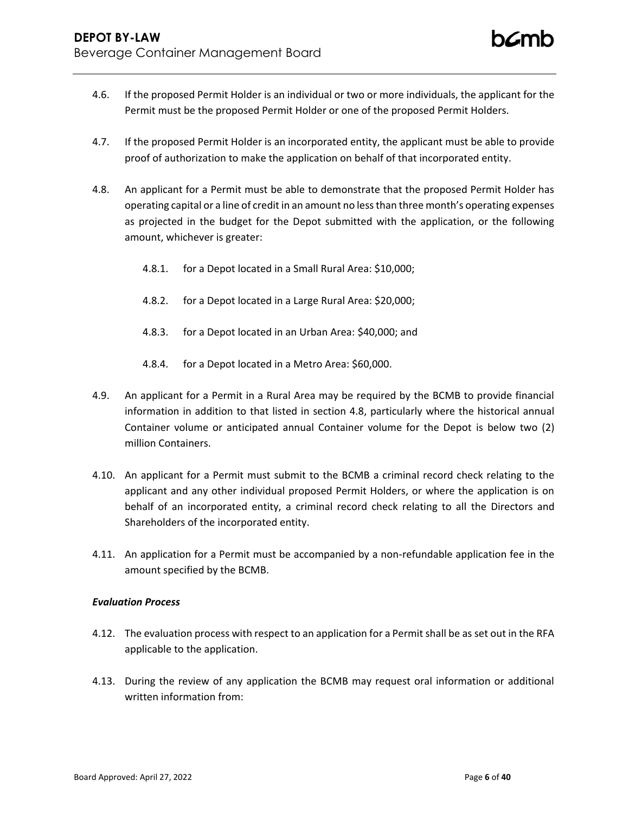- 4.6. If the proposed Permit Holder is an individual or two or more individuals, the applicant for the Permit must be the proposed Permit Holder or one of the proposed Permit Holders.
- 4.7. If the proposed Permit Holder is an incorporated entity, the applicant must be able to provide proof of authorization to make the application on behalf of that incorporated entity.
- 4.8. An applicant for a Permit must be able to demonstrate that the proposed Permit Holder has operating capital or a line of credit in an amount no less than three month's operating expenses as projected in the budget for the Depot submitted with the application, or the following amount, whichever is greater:
	- 4.8.1. for a Depot located in a Small Rural Area: \$10,000;
	- 4.8.2. for a Depot located in a Large Rural Area: \$20,000;
	- 4.8.3. for a Depot located in an Urban Area: \$40,000; and
	- 4.8.4. for a Depot located in a Metro Area: \$60,000.
- 4.9. An applicant for a Permit in a Rural Area may be required by the BCMB to provide financial information in addition to that listed in section 4.8, particularly where the historical annual Container volume or anticipated annual Container volume for the Depot is below two (2) million Containers.
- 4.10. An applicant for a Permit must submit to the BCMB a criminal record check relating to the applicant and any other individual proposed Permit Holders, or where the application is on behalf of an incorporated entity, a criminal record check relating to all the Directors and Shareholders of the incorporated entity.
- 4.11. An application for a Permit must be accompanied by a non-refundable application fee in the amount specified by the BCMB.

## *Evaluation Process*

- 4.12. The evaluation process with respect to an application for a Permit shall be as set out in the RFA applicable to the application.
- 4.13. During the review of any application the BCMB may request oral information or additional written information from: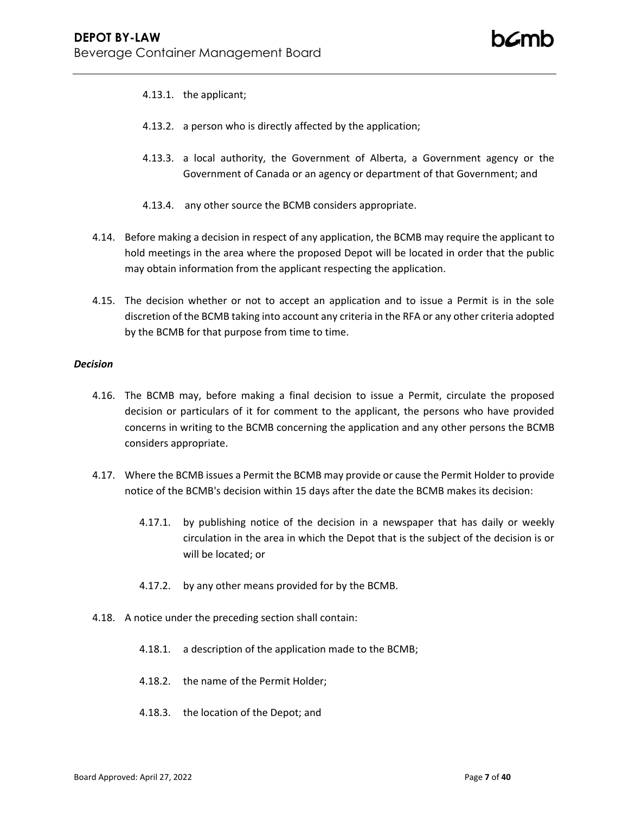- 4.13.1. the applicant;
- 4.13.2. a person who is directly affected by the application;
- 4.13.3. a local authority, the Government of Alberta, a Government agency or the Government of Canada or an agency or department of that Government; and
- 4.13.4. any other source the BCMB considers appropriate.
- 4.14. Before making a decision in respect of any application, the BCMB may require the applicant to hold meetings in the area where the proposed Depot will be located in order that the public may obtain information from the applicant respecting the application.
- 4.15. The decision whether or not to accept an application and to issue a Permit is in the sole discretion of the BCMB taking into account any criteria in the RFA or any other criteria adopted by the BCMB for that purpose from time to time.

### *Decision*

- 4.16. The BCMB may, before making a final decision to issue a Permit, circulate the proposed decision or particulars of it for comment to the applicant, the persons who have provided concerns in writing to the BCMB concerning the application and any other persons the BCMB considers appropriate.
- 4.17. Where the BCMB issues a Permit the BCMB may provide or cause the Permit Holder to provide notice of the BCMB's decision within 15 days after the date the BCMB makes its decision:
	- 4.17.1. by publishing notice of the decision in a newspaper that has daily or weekly circulation in the area in which the Depot that is the subject of the decision is or will be located; or
	- 4.17.2. by any other means provided for by the BCMB.
- 4.18. A notice under the preceding section shall contain:
	- 4.18.1. a description of the application made to the BCMB;
	- 4.18.2. the name of the Permit Holder;
	- 4.18.3. the location of the Depot; and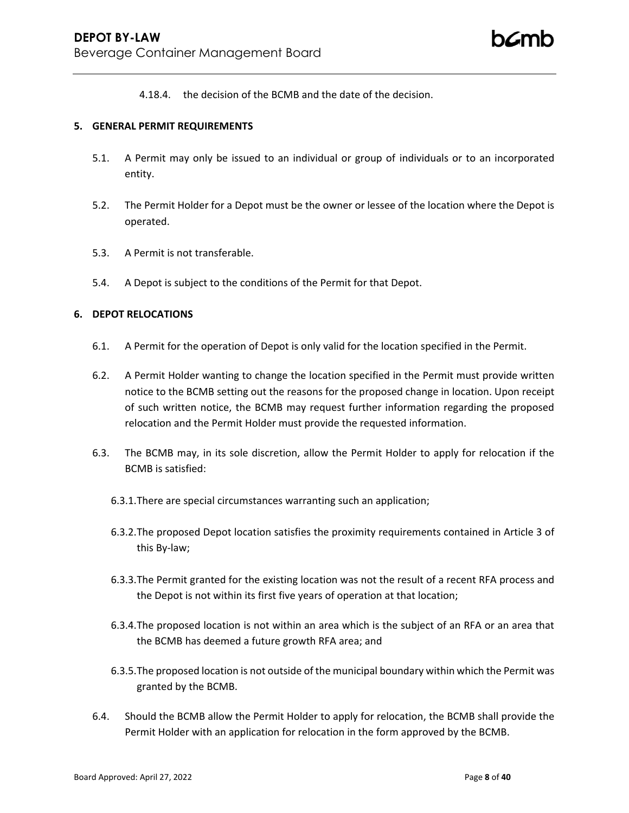4.18.4. the decision of the BCMB and the date of the decision.

### **5. GENERAL PERMIT REQUIREMENTS**

- 5.1. A Permit may only be issued to an individual or group of individuals or to an incorporated entity.
- 5.2. The Permit Holder for a Depot must be the owner or lessee of the location where the Depot is operated.
- 5.3. A Permit is not transferable.
- 5.4. A Depot is subject to the conditions of the Permit for that Depot.

## **6. DEPOT RELOCATIONS**

- 6.1. A Permit for the operation of Depot is only valid for the location specified in the Permit.
- 6.2. A Permit Holder wanting to change the location specified in the Permit must provide written notice to the BCMB setting out the reasons for the proposed change in location. Upon receipt of such written notice, the BCMB may request further information regarding the proposed relocation and the Permit Holder must provide the requested information.
- 6.3. The BCMB may, in its sole discretion, allow the Permit Holder to apply for relocation if the BCMB is satisfied:
	- 6.3.1.There are special circumstances warranting such an application;
	- 6.3.2.The proposed Depot location satisfies the proximity requirements contained in Article 3 of this By-law;
	- 6.3.3.The Permit granted for the existing location was not the result of a recent RFA process and the Depot is not within its first five years of operation at that location;
	- 6.3.4.The proposed location is not within an area which is the subject of an RFA or an area that the BCMB has deemed a future growth RFA area; and
	- 6.3.5.The proposed location is not outside of the municipal boundary within which the Permit was granted by the BCMB.
- 6.4. Should the BCMB allow the Permit Holder to apply for relocation, the BCMB shall provide the Permit Holder with an application for relocation in the form approved by the BCMB.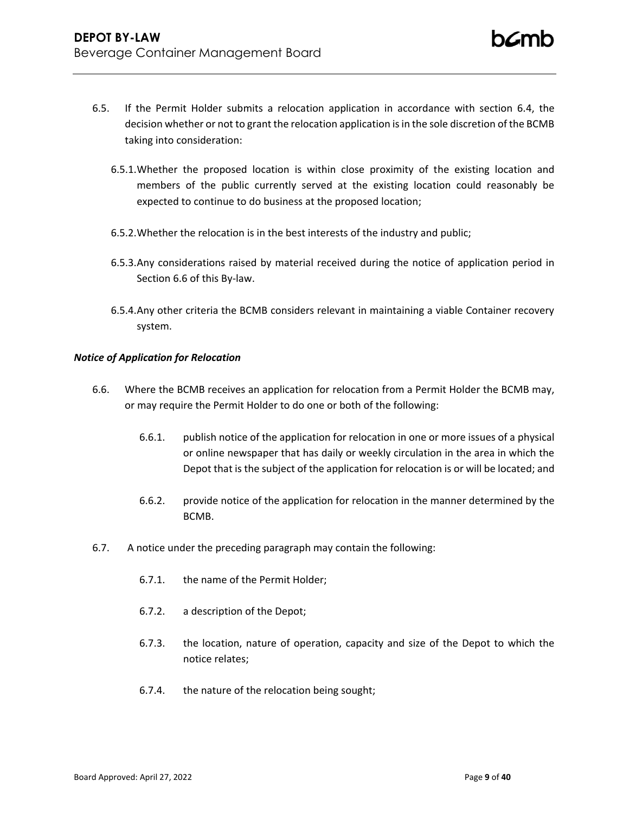- 6.5. If the Permit Holder submits a relocation application in accordance with section 6.4, the decision whether or not to grant the relocation application is in the sole discretion of the BCMB taking into consideration:
	- 6.5.1.Whether the proposed location is within close proximity of the existing location and members of the public currently served at the existing location could reasonably be expected to continue to do business at the proposed location;
	- 6.5.2.Whether the relocation is in the best interests of the industry and public;
	- 6.5.3.Any considerations raised by material received during the notice of application period in Section 6.6 of this By-law.
	- 6.5.4.Any other criteria the BCMB considers relevant in maintaining a viable Container recovery system.

## *Notice of Application for Relocation*

- 6.6. Where the BCMB receives an application for relocation from a Permit Holder the BCMB may, or may require the Permit Holder to do one or both of the following:
	- 6.6.1. publish notice of the application for relocation in one or more issues of a physical or online newspaper that has daily or weekly circulation in the area in which the Depot that is the subject of the application for relocation is or will be located; and
	- 6.6.2. provide notice of the application for relocation in the manner determined by the BCMB.
- 6.7. A notice under the preceding paragraph may contain the following:
	- 6.7.1. the name of the Permit Holder;
	- 6.7.2. a description of the Depot;
	- 6.7.3. the location, nature of operation, capacity and size of the Depot to which the notice relates;
	- 6.7.4. the nature of the relocation being sought;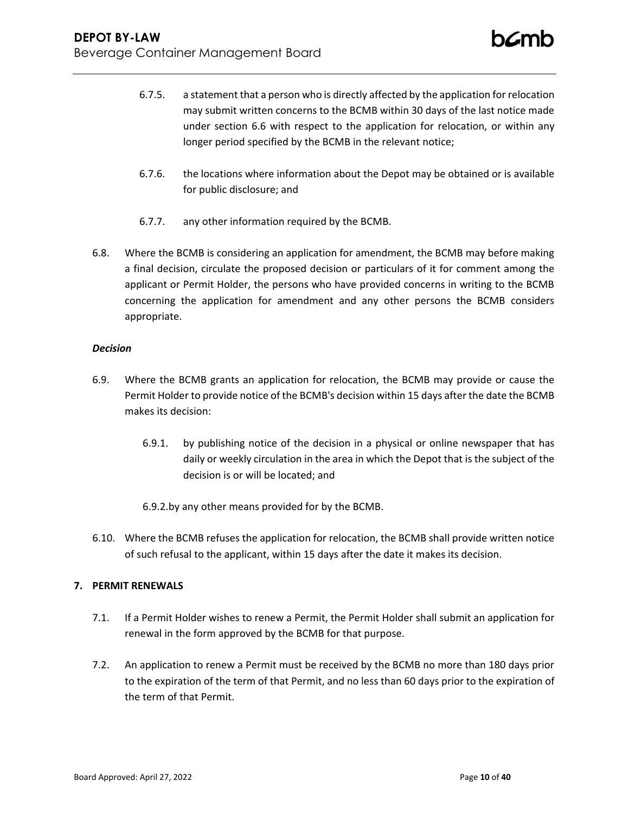- 6.7.5. a statement that a person who is directly affected by the application for relocation may submit written concerns to the BCMB within 30 days of the last notice made under section 6.6 with respect to the application for relocation, or within any longer period specified by the BCMB in the relevant notice;
- 6.7.6. the locations where information about the Depot may be obtained or is available for public disclosure; and
- 6.7.7. any other information required by the BCMB.
- 6.8. Where the BCMB is considering an application for amendment, the BCMB may before making a final decision, circulate the proposed decision or particulars of it for comment among the applicant or Permit Holder, the persons who have provided concerns in writing to the BCMB concerning the application for amendment and any other persons the BCMB considers appropriate.

## *Decision*

- 6.9. Where the BCMB grants an application for relocation, the BCMB may provide or cause the Permit Holder to provide notice of the BCMB's decision within 15 days after the date the BCMB makes its decision:
	- 6.9.1. by publishing notice of the decision in a physical or online newspaper that has daily or weekly circulation in the area in which the Depot that is the subject of the decision is or will be located; and
	- 6.9.2.by any other means provided for by the BCMB.
- 6.10. Where the BCMB refuses the application for relocation, the BCMB shall provide written notice of such refusal to the applicant, within 15 days after the date it makes its decision.

## **7. PERMIT RENEWALS**

- 7.1. If a Permit Holder wishes to renew a Permit, the Permit Holder shall submit an application for renewal in the form approved by the BCMB for that purpose.
- 7.2. An application to renew a Permit must be received by the BCMB no more than 180 days prior to the expiration of the term of that Permit, and no less than 60 days prior to the expiration of the term of that Permit.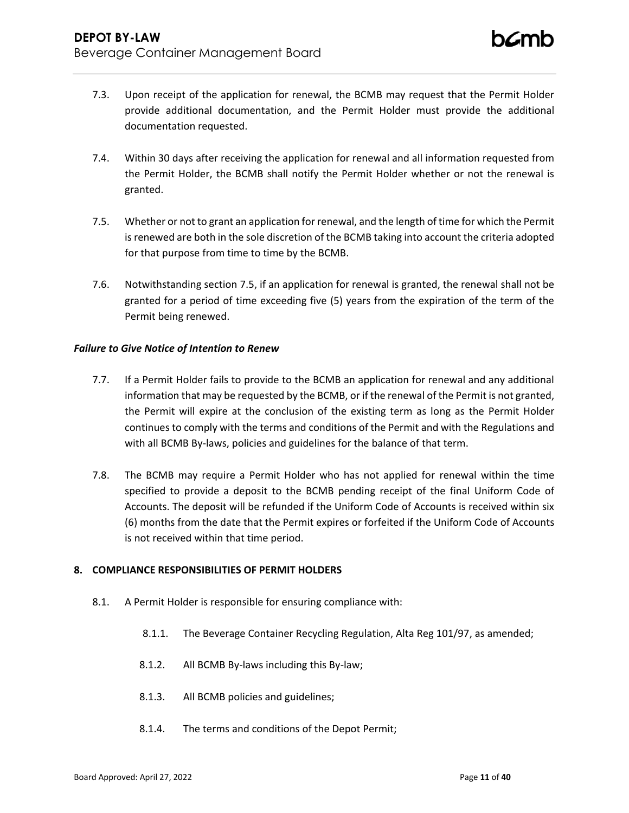- 7.3. Upon receipt of the application for renewal, the BCMB may request that the Permit Holder provide additional documentation, and the Permit Holder must provide the additional documentation requested.
- 7.4. Within 30 days after receiving the application for renewal and all information requested from the Permit Holder, the BCMB shall notify the Permit Holder whether or not the renewal is granted.
- <span id="page-10-0"></span>7.5. Whether or not to grant an application for renewal, and the length of time for which the Permit is renewed are both in the sole discretion of the BCMB taking into account the criteria adopted for that purpose from time to time by the BCMB.
- 7.6. Notwithstanding section [7.5,](#page-10-0) if an application for renewal is granted, the renewal shall not be granted for a period of time exceeding five (5) years from the expiration of the term of the Permit being renewed.

## *Failure to Give Notice of Intention to Renew*

- 7.7. If a Permit Holder fails to provide to the BCMB an application for renewal and any additional information that may be requested by the BCMB, or if the renewal of the Permit is not granted, the Permit will expire at the conclusion of the existing term as long as the Permit Holder continues to comply with the terms and conditions of the Permit and with the Regulations and with all BCMB By-laws, policies and guidelines for the balance of that term.
- 7.8. The BCMB may require a Permit Holder who has not applied for renewal within the time specified to provide a deposit to the BCMB pending receipt of the final Uniform Code of Accounts. The deposit will be refunded if the Uniform Code of Accounts is received within six (6) months from the date that the Permit expires or forfeited if the Uniform Code of Accounts is not received within that time period.

## **8. COMPLIANCE RESPONSIBILITIES OF PERMIT HOLDERS**

- <span id="page-10-1"></span>8.1. A Permit Holder is responsible for ensuring compliance with:
	- 8.1.1. The Beverage Container Recycling Regulation, Alta Reg 101/97, as amended;
	- 8.1.2. All BCMB By-laws including this By-law;
	- 8.1.3. All BCMB policies and guidelines;
	- 8.1.4. The terms and conditions of the Depot Permit;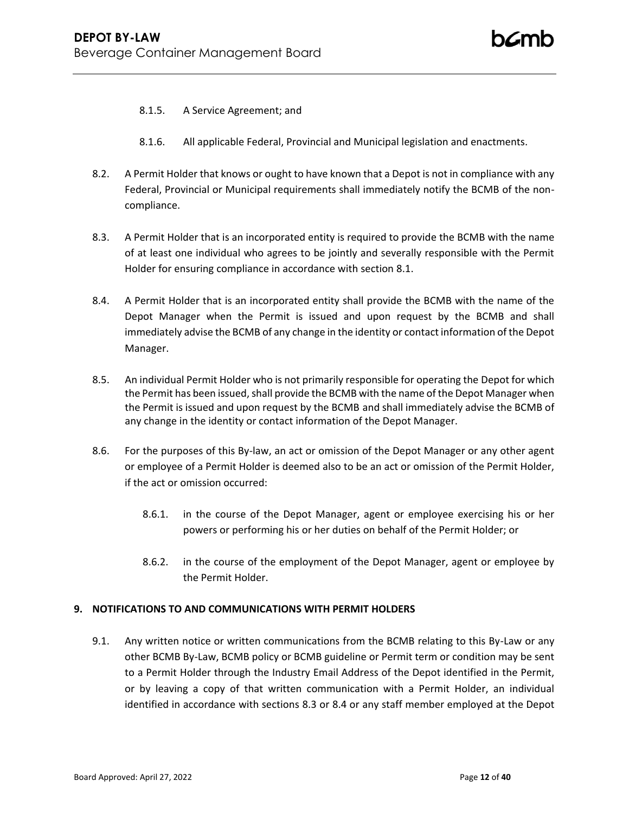- 8.1.5. A Service Agreement; and
- 8.1.6. All applicable Federal, Provincial and Municipal legislation and enactments.
- 8.2. A Permit Holder that knows or ought to have known that a Depot is not in compliance with any Federal, Provincial or Municipal requirements shall immediately notify the BCMB of the noncompliance.
- <span id="page-11-0"></span>8.3. A Permit Holder that is an incorporated entity is required to provide the BCMB with the name of at least one individual who agrees to be jointly and severally responsible with the Permit Holder for ensuring compliance in accordance with section [8.1.](#page-10-1)
- <span id="page-11-1"></span>8.4. A Permit Holder that is an incorporated entity shall provide the BCMB with the name of the Depot Manager when the Permit is issued and upon request by the BCMB and shall immediately advise the BCMB of any change in the identity or contact information of the Depot Manager.
- 8.5. An individual Permit Holder who is not primarily responsible for operating the Depot for which the Permit has been issued, shall provide the BCMB with the name of the Depot Manager when the Permit is issued and upon request by the BCMB and shall immediately advise the BCMB of any change in the identity or contact information of the Depot Manager.
- 8.6. For the purposes of this By-law, an act or omission of the Depot Manager or any other agent or employee of a Permit Holder is deemed also to be an act or omission of the Permit Holder, if the act or omission occurred:
	- 8.6.1. in the course of the Depot Manager, agent or employee exercising his or her powers or performing his or her duties on behalf of the Permit Holder; or
	- 8.6.2. in the course of the employment of the Depot Manager, agent or employee by the Permit Holder.

### **9. NOTIFICATIONS TO AND COMMUNICATIONS WITH PERMIT HOLDERS**

9.1. Any written notice or written communications from the BCMB relating to this By-Law or any other BCMB By-Law, BCMB policy or BCMB guideline or Permit term or condition may be sent to a Permit Holder through the Industry Email Address of the Depot identified in the Permit, or by leaving a copy of that written communication with a Permit Holder, an individual identified in accordance with sections [8.3](#page-11-0) or [8.4](#page-11-1) or any staff member employed at the Depot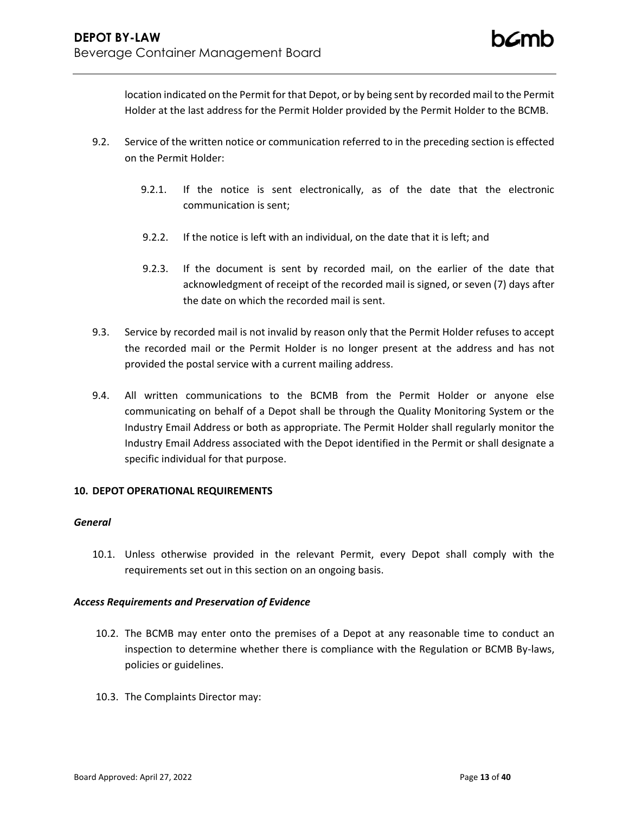location indicated on the Permit for that Depot, or by being sent by recorded mail to the Permit Holder at the last address for the Permit Holder provided by the Permit Holder to the BCMB.

- 9.2. Service of the written notice or communication referred to in the preceding section is effected on the Permit Holder:
	- 9.2.1. If the notice is sent electronically, as of the date that the electronic communication is sent;
	- 9.2.2. If the notice is left with an individual, on the date that it is left; and
	- 9.2.3. If the document is sent by recorded mail, on the earlier of the date that acknowledgment of receipt of the recorded mail is signed, or seven (7) days after the date on which the recorded mail is sent.
- 9.3. Service by recorded mail is not invalid by reason only that the Permit Holder refuses to accept the recorded mail or the Permit Holder is no longer present at the address and has not provided the postal service with a current mailing address.
- 9.4. All written communications to the BCMB from the Permit Holder or anyone else communicating on behalf of a Depot shall be through the Quality Monitoring System or the Industry Email Address or both as appropriate. The Permit Holder shall regularly monitor the Industry Email Address associated with the Depot identified in the Permit or shall designate a specific individual for that purpose.

## **10. DEPOT OPERATIONAL REQUIREMENTS**

### *General*

10.1. Unless otherwise provided in the relevant Permit, every Depot shall comply with the requirements set out in this section on an ongoing basis.

## *Access Requirements and Preservation of Evidence*

- 10.2. The BCMB may enter onto the premises of a Depot at any reasonable time to conduct an inspection to determine whether there is compliance with the Regulation or BCMB By-laws, policies or guidelines.
- 10.3. The Complaints Director may: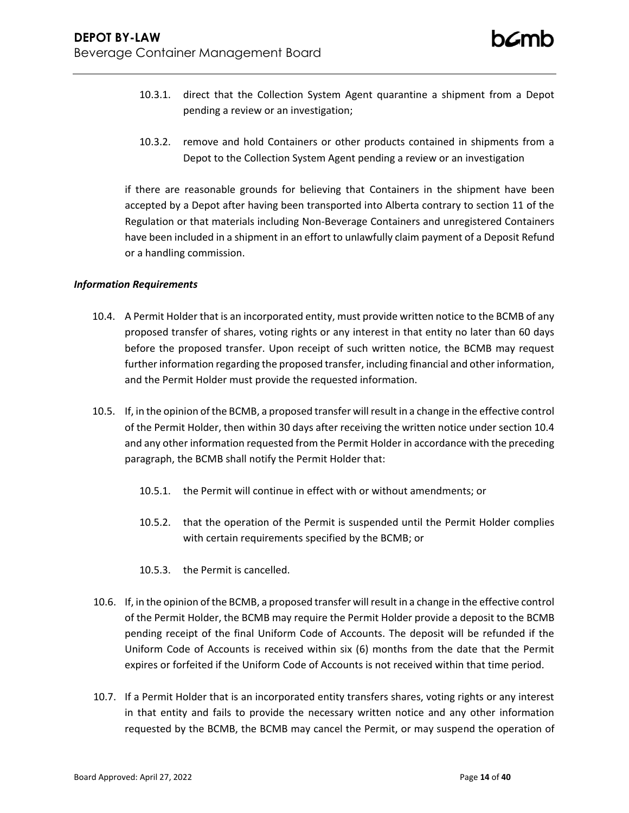- 10.3.1. direct that the Collection System Agent quarantine a shipment from a Depot pending a review or an investigation;
- 10.3.2. remove and hold Containers or other products contained in shipments from a Depot to the Collection System Agent pending a review or an investigation

if there are reasonable grounds for believing that Containers in the shipment have been accepted by a Depot after having been transported into Alberta contrary to section 11 of the Regulation or that materials including Non-Beverage Containers and unregistered Containers have been included in a shipment in an effort to unlawfully claim payment of a Deposit Refund or a handling commission.

## *Information Requirements*

- 10.4. A Permit Holder that is an incorporated entity, must provide written notice to the BCMB of any proposed transfer of shares, voting rights or any interest in that entity no later than 60 days before the proposed transfer. Upon receipt of such written notice, the BCMB may request further information regarding the proposed transfer, including financial and other information, and the Permit Holder must provide the requested information.
- 10.5. If, in the opinion of the BCMB, a proposed transfer will result in a change in the effective control of the Permit Holder, then within 30 days after receiving the written notice under section 10.4 and any other information requested from the Permit Holder in accordance with the preceding paragraph, the BCMB shall notify the Permit Holder that:
	- 10.5.1. the Permit will continue in effect with or without amendments; or
	- 10.5.2. that the operation of the Permit is suspended until the Permit Holder complies with certain requirements specified by the BCMB; or
	- 10.5.3. the Permit is cancelled.
- 10.6. If, in the opinion of the BCMB, a proposed transfer will result in a change in the effective control of the Permit Holder, the BCMB may require the Permit Holder provide a deposit to the BCMB pending receipt of the final Uniform Code of Accounts. The deposit will be refunded if the Uniform Code of Accounts is received within six (6) months from the date that the Permit expires or forfeited if the Uniform Code of Accounts is not received within that time period.
- 10.7. If a Permit Holder that is an incorporated entity transfers shares, voting rights or any interest in that entity and fails to provide the necessary written notice and any other information requested by the BCMB, the BCMB may cancel the Permit, or may suspend the operation of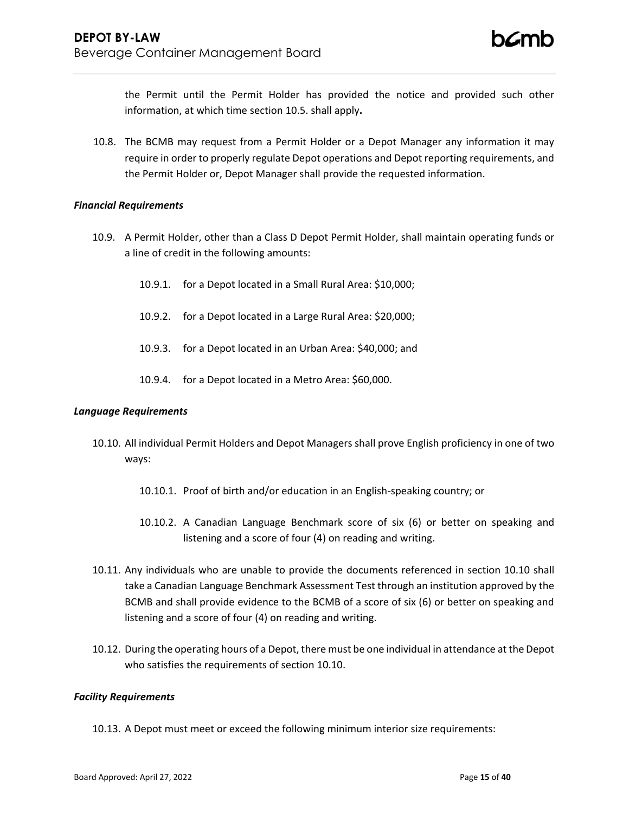the Permit until the Permit Holder has provided the notice and provided such other information, at which time section 10.5. shall apply**.**

10.8. The BCMB may request from a Permit Holder or a Depot Manager any information it may require in order to properly regulate Depot operations and Depot reporting requirements, and the Permit Holder or, Depot Manager shall provide the requested information.

## *Financial Requirements*

- 10.9. A Permit Holder, other than a Class D Depot Permit Holder, shall maintain operating funds or a line of credit in the following amounts:
	- 10.9.1. for a Depot located in a Small Rural Area: \$10,000;
	- 10.9.2. for a Depot located in a Large Rural Area: \$20,000;
	- 10.9.3. for a Depot located in an Urban Area: \$40,000; and
	- 10.9.4. for a Depot located in a Metro Area: \$60,000.

### *Language Requirements*

- <span id="page-14-0"></span>10.10. All individual Permit Holders and Depot Managers shall prove English proficiency in one of two ways:
	- 10.10.1. Proof of birth and/or education in an English-speaking country; or
	- 10.10.2. A Canadian Language Benchmark score of six (6) or better on speaking and listening and a score of four (4) on reading and writing.
- 10.11. Any individuals who are unable to provide the documents referenced in section 10.10 shall take a Canadian Language Benchmark Assessment Test through an institution approved by the BCMB and shall provide evidence to the BCMB of a score of six (6) or better on speaking and listening and a score of four (4) on reading and writing.
- 10.12. During the operating hours of a Depot, there must be one individual in attendance at the Depot who satisfies the requirements of sectio[n 10.10.](#page-14-0)

### *Facility Requirements*

10.13. A Depot must meet or exceed the following minimum interior size requirements: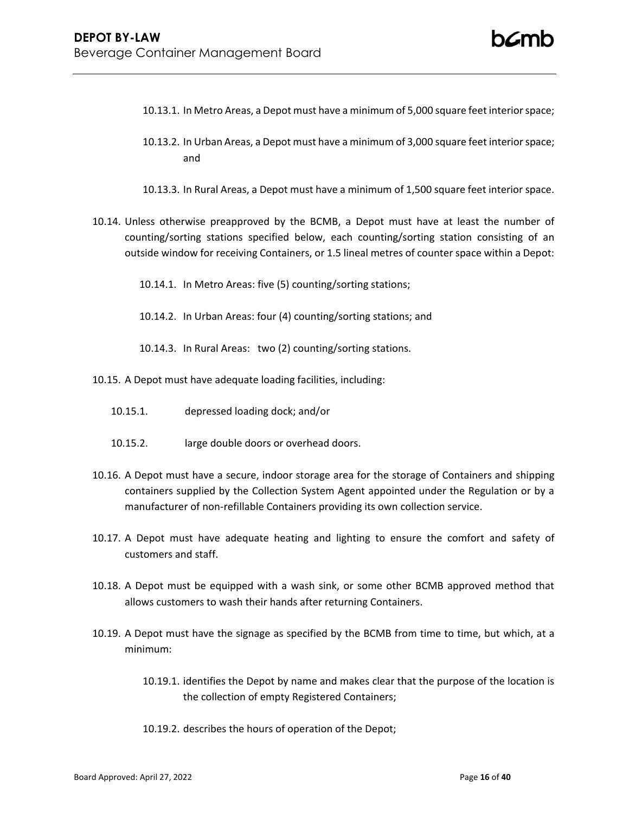- 10.13.1. In Metro Areas, a Depot must have a minimum of 5,000 square feet interior space;
- 10.13.2. In Urban Areas, a Depot must have a minimum of 3,000 square feet interior space; and
- 10.13.3. In Rural Areas, a Depot must have a minimum of 1,500 square feet interior space.
- 10.14. Unless otherwise preapproved by the BCMB, a Depot must have at least the number of counting/sorting stations specified below, each counting/sorting station consisting of an outside window for receiving Containers, or 1.5 lineal metres of counter space within a Depot:
	- 10.14.1. In Metro Areas: five (5) counting/sorting stations;
	- 10.14.2. In Urban Areas: four (4) counting/sorting stations; and
	- 10.14.3. In Rural Areas: two (2) counting/sorting stations.
- 10.15. A Depot must have adequate loading facilities, including:
	- 10.15.1. depressed loading dock; and/or
	- 10.15.2. large double doors or overhead doors.
- 10.16. A Depot must have a secure, indoor storage area for the storage of Containers and shipping containers supplied by the Collection System Agent appointed under the Regulation or by a manufacturer of non-refillable Containers providing its own collection service.
- 10.17. A Depot must have adequate heating and lighting to ensure the comfort and safety of customers and staff.
- 10.18. A Depot must be equipped with a wash sink, or some other BCMB approved method that allows customers to wash their hands after returning Containers.
- 10.19. A Depot must have the signage as specified by the BCMB from time to time, but which, at a minimum:
	- 10.19.1. identifies the Depot by name and makes clear that the purpose of the location is the collection of empty Registered Containers;
	- 10.19.2. describes the hours of operation of the Depot;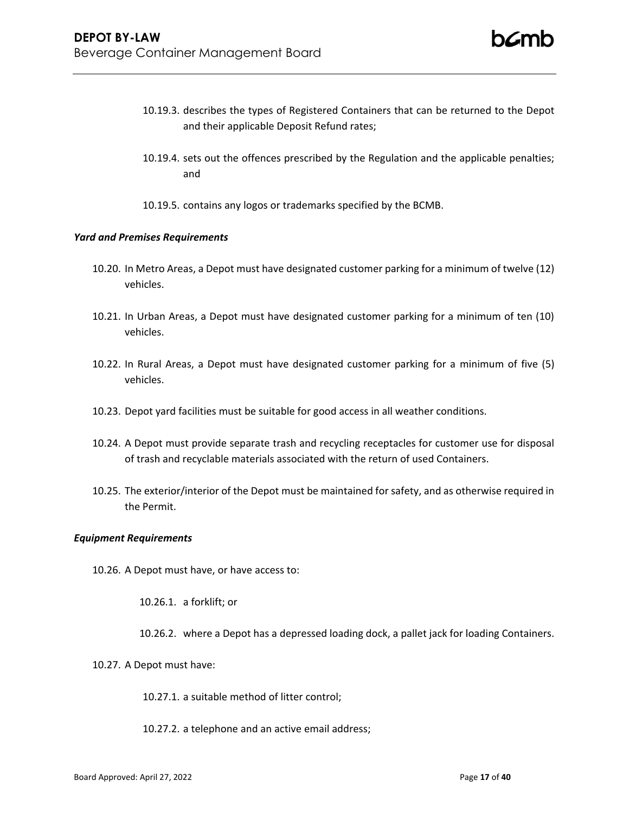- 10.19.3. describes the types of Registered Containers that can be returned to the Depot and their applicable Deposit Refund rates;
- 10.19.4. sets out the offences prescribed by the Regulation and the applicable penalties; and
- 10.19.5. contains any logos or trademarks specified by the BCMB.

### *Yard and Premises Requirements*

- 10.20. In Metro Areas, a Depot must have designated customer parking for a minimum of twelve (12) vehicles.
- 10.21. In Urban Areas, a Depot must have designated customer parking for a minimum of ten (10) vehicles.
- 10.22. In Rural Areas, a Depot must have designated customer parking for a minimum of five (5) vehicles.
- 10.23. Depot yard facilities must be suitable for good access in all weather conditions.
- 10.24. A Depot must provide separate trash and recycling receptacles for customer use for disposal of trash and recyclable materials associated with the return of used Containers.
- 10.25. The exterior/interior of the Depot must be maintained for safety, and as otherwise required in the Permit.

### *Equipment Requirements*

10.26. A Depot must have, or have access to:

10.26.1. a forklift; or

- 10.26.2. where a Depot has a depressed loading dock, a pallet jack for loading Containers.
- 10.27. A Depot must have:
	- 10.27.1. a suitable method of litter control;
	- 10.27.2. a telephone and an active email address;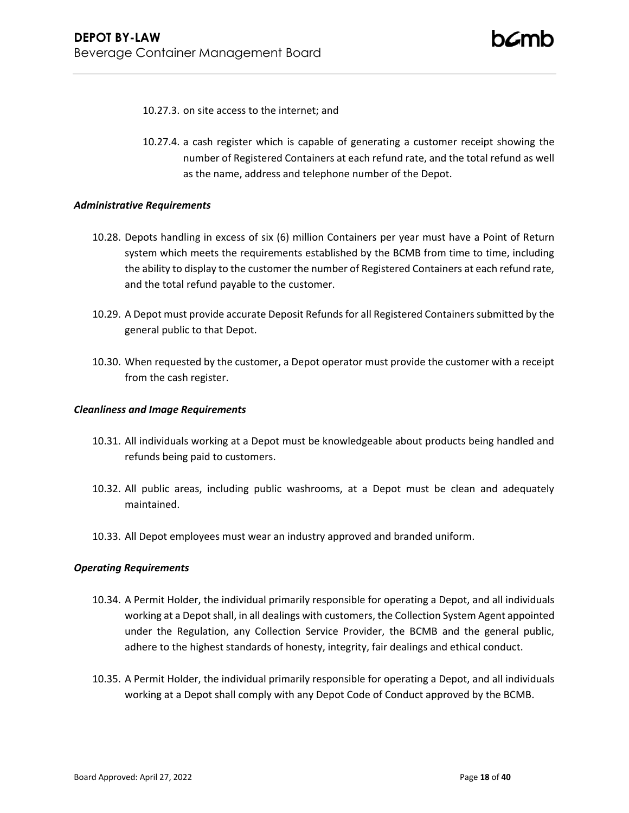- 10.27.3. on site access to the internet; and
- 10.27.4. a cash register which is capable of generating a customer receipt showing the number of Registered Containers at each refund rate, and the total refund as well as the name, address and telephone number of the Depot.

### *Administrative Requirements*

- 10.28. Depots handling in excess of six (6) million Containers per year must have a Point of Return system which meets the requirements established by the BCMB from time to time, including the ability to display to the customer the number of Registered Containers at each refund rate, and the total refund payable to the customer.
- 10.29. A Depot must provide accurate Deposit Refunds for all Registered Containers submitted by the general public to that Depot.
- 10.30. When requested by the customer, a Depot operator must provide the customer with a receipt from the cash register.

### *Cleanliness and Image Requirements*

- 10.31. All individuals working at a Depot must be knowledgeable about products being handled and refunds being paid to customers.
- 10.32. All public areas, including public washrooms, at a Depot must be clean and adequately maintained.
- 10.33. All Depot employees must wear an industry approved and branded uniform.

### *Operating Requirements*

- 10.34. A Permit Holder, the individual primarily responsible for operating a Depot, and all individuals working at a Depot shall, in all dealings with customers, the Collection System Agent appointed under the Regulation, any Collection Service Provider, the BCMB and the general public, adhere to the highest standards of honesty, integrity, fair dealings and ethical conduct.
- 10.35. A Permit Holder, the individual primarily responsible for operating a Depot, and all individuals working at a Depot shall comply with any Depot Code of Conduct approved by the BCMB.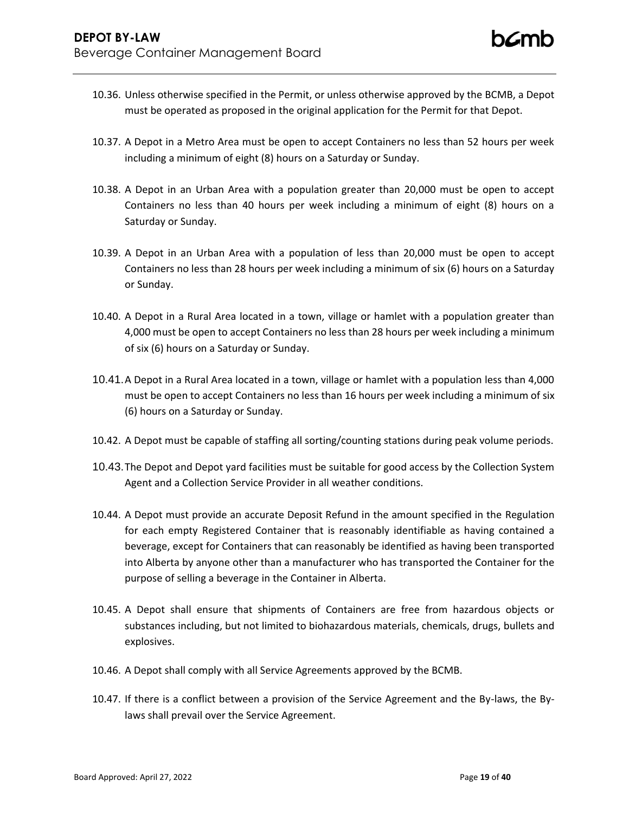- 10.36. Unless otherwise specified in the Permit, or unless otherwise approved by the BCMB, a Depot must be operated as proposed in the original application for the Permit for that Depot.
- 10.37. A Depot in a Metro Area must be open to accept Containers no less than 52 hours per week including a minimum of eight (8) hours on a Saturday or Sunday.
- 10.38. A Depot in an Urban Area with a population greater than 20,000 must be open to accept Containers no less than 40 hours per week including a minimum of eight (8) hours on a Saturday or Sunday.
- 10.39. A Depot in an Urban Area with a population of less than 20,000 must be open to accept Containers no less than 28 hours per week including a minimum of six (6) hours on a Saturday or Sunday.
- 10.40. A Depot in a Rural Area located in a town, village or hamlet with a population greater than 4,000 must be open to accept Containers no less than 28 hours per week including a minimum of six (6) hours on a Saturday or Sunday.
- 10.41.A Depot in a Rural Area located in a town, village or hamlet with a population less than 4,000 must be open to accept Containers no less than 16 hours per week including a minimum of six (6) hours on a Saturday or Sunday.
- 10.42. A Depot must be capable of staffing all sorting/counting stations during peak volume periods.
- 10.43.The Depot and Depot yard facilities must be suitable for good access by the Collection System Agent and a Collection Service Provider in all weather conditions.
- 10.44. A Depot must provide an accurate Deposit Refund in the amount specified in the Regulation for each empty Registered Container that is reasonably identifiable as having contained a beverage, except for Containers that can reasonably be identified as having been transported into Alberta by anyone other than a manufacturer who has transported the Container for the purpose of selling a beverage in the Container in Alberta.
- 10.45. A Depot shall ensure that shipments of Containers are free from hazardous objects or substances including, but not limited to biohazardous materials, chemicals, drugs, bullets and explosives.
- 10.46. A Depot shall comply with all Service Agreements approved by the BCMB.
- 10.47. If there is a conflict between a provision of the Service Agreement and the By-laws, the Bylaws shall prevail over the Service Agreement.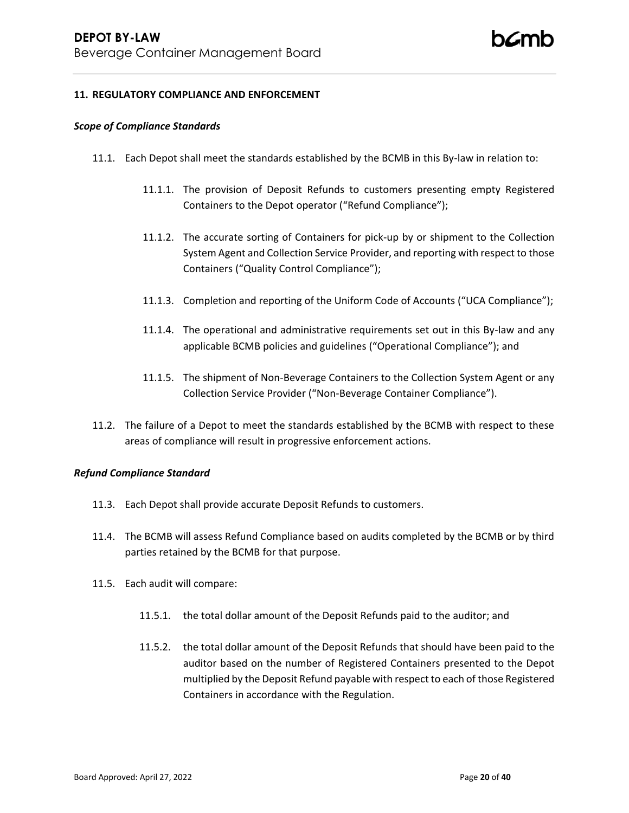## **11. REGULATORY COMPLIANCE AND ENFORCEMENT**

#### *Scope of Compliance Standards*

- 11.1. Each Depot shall meet the standards established by the BCMB in this By-law in relation to:
	- 11.1.1. The provision of Deposit Refunds to customers presenting empty Registered Containers to the Depot operator ("Refund Compliance");
	- 11.1.2. The accurate sorting of Containers for pick-up by or shipment to the Collection System Agent and Collection Service Provider, and reporting with respect to those Containers ("Quality Control Compliance");
	- 11.1.3. Completion and reporting of the Uniform Code of Accounts ("UCA Compliance");
	- 11.1.4. The operational and administrative requirements set out in this By-law and any applicable BCMB policies and guidelines ("Operational Compliance"); and
	- 11.1.5. The shipment of Non-Beverage Containers to the Collection System Agent or any Collection Service Provider ("Non-Beverage Container Compliance").
- 11.2. The failure of a Depot to meet the standards established by the BCMB with respect to these areas of compliance will result in progressive enforcement actions.

### *Refund Compliance Standard*

- 11.3. Each Depot shall provide accurate Deposit Refunds to customers.
- 11.4. The BCMB will assess Refund Compliance based on audits completed by the BCMB or by third parties retained by the BCMB for that purpose.
- 11.5. Each audit will compare:
	- 11.5.1. the total dollar amount of the Deposit Refunds paid to the auditor; and
	- 11.5.2. the total dollar amount of the Deposit Refunds that should have been paid to the auditor based on the number of Registered Containers presented to the Depot multiplied by the Deposit Refund payable with respect to each of those Registered Containers in accordance with the Regulation.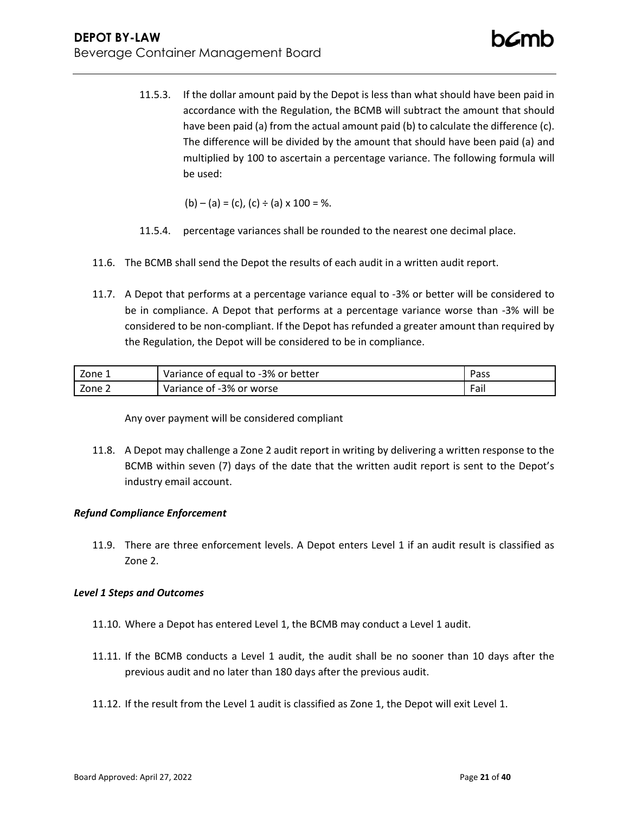11.5.3. If the dollar amount paid by the Depot is less than what should have been paid in accordance with the Regulation, the BCMB will subtract the amount that should have been paid (a) from the actual amount paid (b) to calculate the difference (c). The difference will be divided by the amount that should have been paid (a) and multiplied by 100 to ascertain a percentage variance. The following formula will be used:

 $(b) - (a) = (c)$ ,  $(c) \div (a) \times 100 = \%$ .

- 11.5.4. percentage variances shall be rounded to the nearest one decimal place.
- 11.6. The BCMB shall send the Depot the results of each audit in a written audit report.
- 11.7. A Depot that performs at a percentage variance equal to -3% or better will be considered to be in compliance. A Depot that performs at a percentage variance worse than -3% will be considered to be non-compliant. If the Depot has refunded a greater amount than required by the Regulation, the Depot will be considered to be in compliance.

| Zone 1 | Variance of equal to -3% or better | Docc<br>-ass |
|--------|------------------------------------|--------------|
| Zone 2 | Variance of -3% or worse           | Fail         |

Any over payment will be considered compliant

11.8. A Depot may challenge a Zone 2 audit report in writing by delivering a written response to the BCMB within seven (7) days of the date that the written audit report is sent to the Depot's industry email account.

# *Refund Compliance Enforcement*

11.9. There are three enforcement levels. A Depot enters Level 1 if an audit result is classified as Zone 2.

## *Level 1 Steps and Outcomes*

- 11.10. Where a Depot has entered Level 1, the BCMB may conduct a Level 1 audit.
- 11.11. If the BCMB conducts a Level 1 audit, the audit shall be no sooner than 10 days after the previous audit and no later than 180 days after the previous audit.
- 11.12. If the result from the Level 1 audit is classified as Zone 1, the Depot will exit Level 1.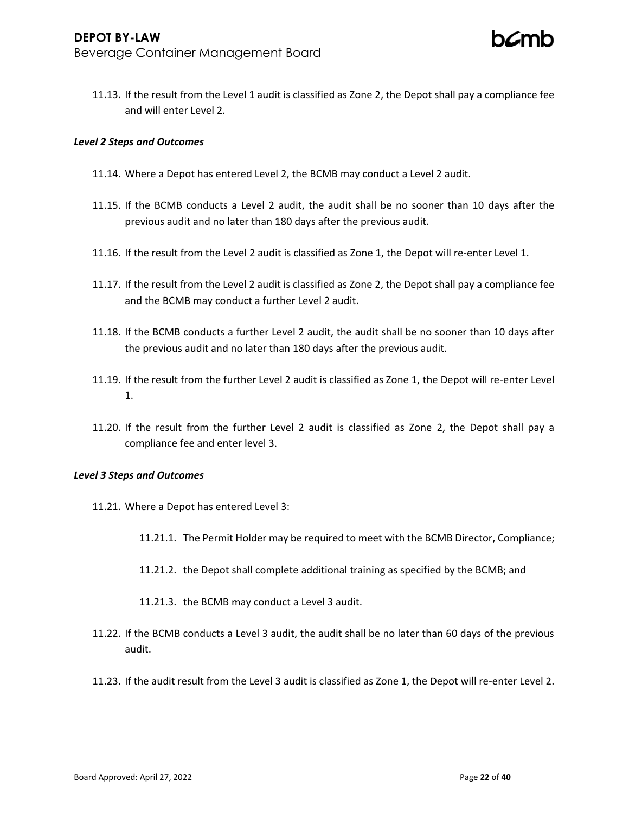11.13. If the result from the Level 1 audit is classified as Zone 2, the Depot shall pay a compliance fee and will enter Level 2.

## *Level 2 Steps and Outcomes*

- 11.14. Where a Depot has entered Level 2, the BCMB may conduct a Level 2 audit.
- 11.15. If the BCMB conducts a Level 2 audit, the audit shall be no sooner than 10 days after the previous audit and no later than 180 days after the previous audit.
- 11.16. If the result from the Level 2 audit is classified as Zone 1, the Depot will re-enter Level 1.
- 11.17. If the result from the Level 2 audit is classified as Zone 2, the Depot shall pay a compliance fee and the BCMB may conduct a further Level 2 audit.
- 11.18. If the BCMB conducts a further Level 2 audit, the audit shall be no sooner than 10 days after the previous audit and no later than 180 days after the previous audit.
- 11.19. If the result from the further Level 2 audit is classified as Zone 1, the Depot will re-enter Level 1.
- 11.20. If the result from the further Level 2 audit is classified as Zone 2, the Depot shall pay a compliance fee and enter level 3.

### *Level 3 Steps and Outcomes*

- 11.21. Where a Depot has entered Level 3:
	- 11.21.1. The Permit Holder may be required to meet with the BCMB Director, Compliance;
	- 11.21.2. the Depot shall complete additional training as specified by the BCMB; and
	- 11.21.3. the BCMB may conduct a Level 3 audit.
- 11.22. If the BCMB conducts a Level 3 audit, the audit shall be no later than 60 days of the previous audit.
- 11.23. If the audit result from the Level 3 audit is classified as Zone 1, the Depot will re-enter Level 2.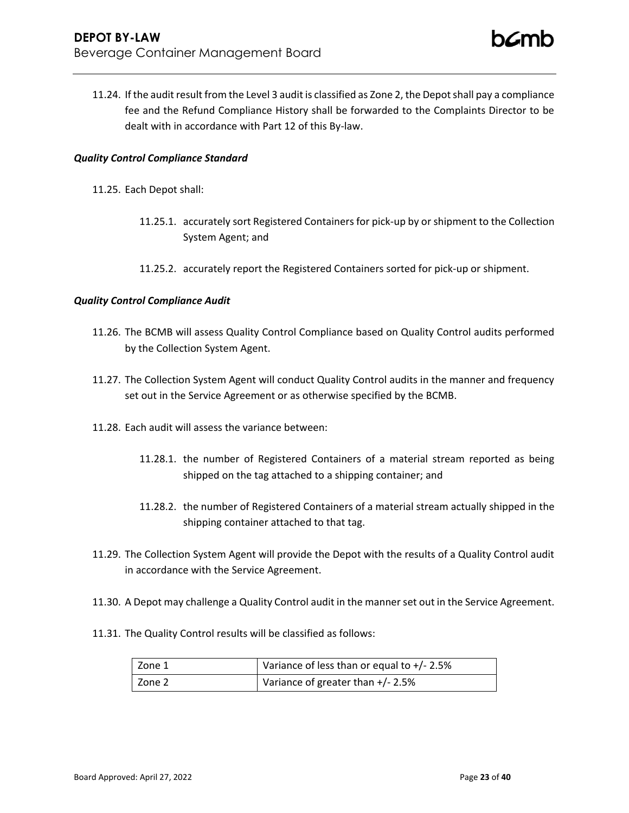11.24. If the audit result from the Level 3 audit is classified as Zone 2, the Depot shall pay a compliance fee and the Refund Compliance History shall be forwarded to the Complaints Director to be dealt with in accordance with Part 12 of this By-law.

## *Quality Control Compliance Standard*

- 11.25. Each Depot shall:
	- 11.25.1. accurately sort Registered Containers for pick-up by or shipment to the Collection System Agent; and
	- 11.25.2. accurately report the Registered Containers sorted for pick-up or shipment.

## *Quality Control Compliance Audit*

- 11.26. The BCMB will assess Quality Control Compliance based on Quality Control audits performed by the Collection System Agent.
- 11.27. The Collection System Agent will conduct Quality Control audits in the manner and frequency set out in the Service Agreement or as otherwise specified by the BCMB.
- 11.28. Each audit will assess the variance between:
	- 11.28.1. the number of Registered Containers of a material stream reported as being shipped on the tag attached to a shipping container; and
	- 11.28.2. the number of Registered Containers of a material stream actually shipped in the shipping container attached to that tag.
- 11.29. The Collection System Agent will provide the Depot with the results of a Quality Control audit in accordance with the Service Agreement.
- 11.30. A Depot may challenge a Quality Control audit in the manner set out in the Service Agreement.
- 11.31. The Quality Control results will be classified as follows:

| Zone 1 | Variance of less than or equal to $+/- 2.5%$ |
|--------|----------------------------------------------|
| Zone 2 | Variance of greater than +/- 2.5%            |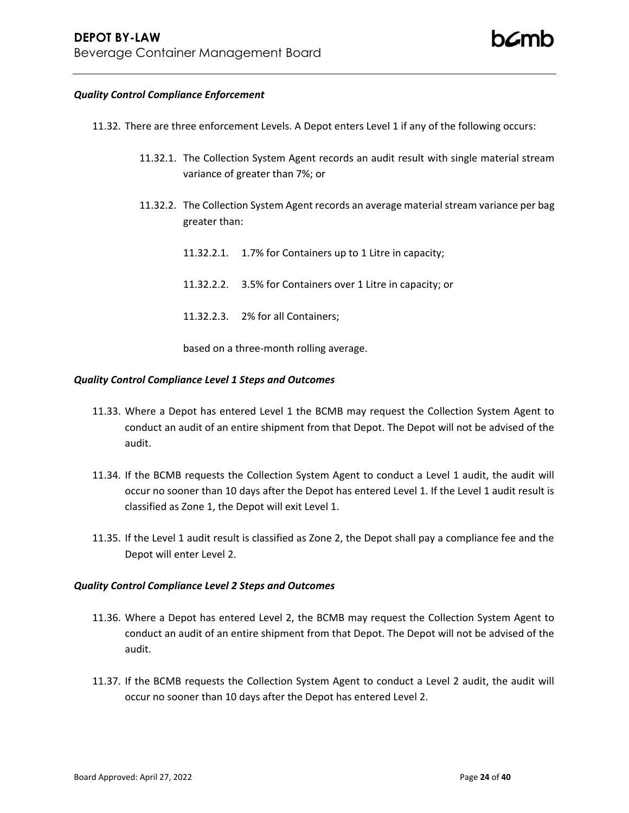### *Quality Control Compliance Enforcement*

- 11.32. There are three enforcement Levels. A Depot enters Level 1 if any of the following occurs:
	- 11.32.1. The Collection System Agent records an audit result with single material stream variance of greater than 7%; or
	- 11.32.2. The Collection System Agent records an average material stream variance per bag greater than:
		- 11.32.2.1. 1.7% for Containers up to 1 Litre in capacity;
		- 11.32.2.2. 3.5% for Containers over 1 Litre in capacity; or
		- 11.32.2.3. 2% for all Containers;

based on a three-month rolling average.

### *Quality Control Compliance Level 1 Steps and Outcomes*

- 11.33. Where a Depot has entered Level 1 the BCMB may request the Collection System Agent to conduct an audit of an entire shipment from that Depot. The Depot will not be advised of the audit.
- 11.34. If the BCMB requests the Collection System Agent to conduct a Level 1 audit, the audit will occur no sooner than 10 days after the Depot has entered Level 1. If the Level 1 audit result is classified as Zone 1, the Depot will exit Level 1.
- 11.35. If the Level 1 audit result is classified as Zone 2, the Depot shall pay a compliance fee and the Depot will enter Level 2.

### *Quality Control Compliance Level 2 Steps and Outcomes*

- 11.36. Where a Depot has entered Level 2, the BCMB may request the Collection System Agent to conduct an audit of an entire shipment from that Depot. The Depot will not be advised of the audit.
- 11.37. If the BCMB requests the Collection System Agent to conduct a Level 2 audit, the audit will occur no sooner than 10 days after the Depot has entered Level 2.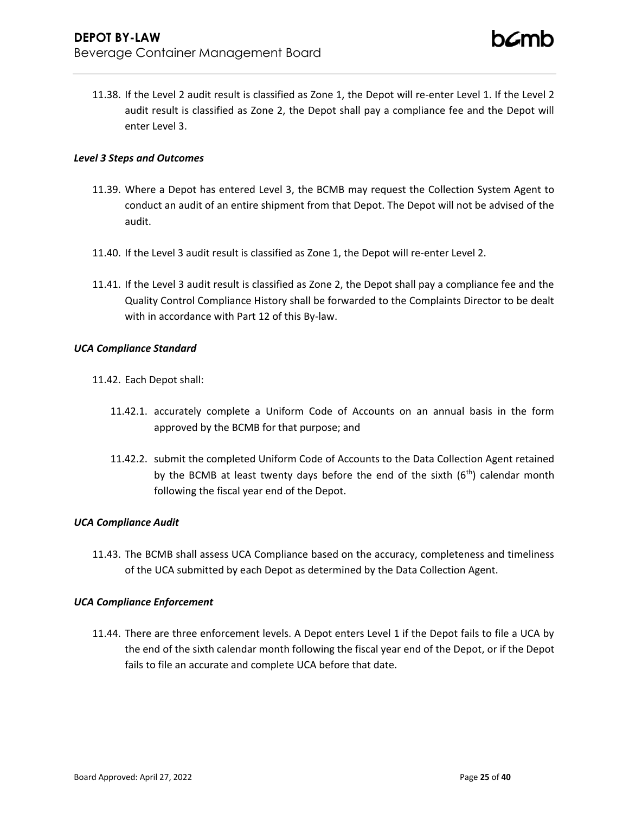11.38. If the Level 2 audit result is classified as Zone 1, the Depot will re-enter Level 1. If the Level 2 audit result is classified as Zone 2, the Depot shall pay a compliance fee and the Depot will enter Level 3.

## *Level 3 Steps and Outcomes*

- 11.39. Where a Depot has entered Level 3, the BCMB may request the Collection System Agent to conduct an audit of an entire shipment from that Depot. The Depot will not be advised of the audit.
- 11.40. If the Level 3 audit result is classified as Zone 1, the Depot will re-enter Level 2.
- 11.41. If the Level 3 audit result is classified as Zone 2, the Depot shall pay a compliance fee and the Quality Control Compliance History shall be forwarded to the Complaints Director to be dealt with in accordance with Part 12 of this By-law.

### *UCA Compliance Standard*

- 11.42. Each Depot shall:
	- 11.42.1. accurately complete a Uniform Code of Accounts on an annual basis in the form approved by the BCMB for that purpose; and
	- 11.42.2. submit the completed Uniform Code of Accounts to the Data Collection Agent retained by the BCMB at least twenty days before the end of the sixth  $(6<sup>th</sup>)$  calendar month following the fiscal year end of the Depot.

## *UCA Compliance Audit*

11.43. The BCMB shall assess UCA Compliance based on the accuracy, completeness and timeliness of the UCA submitted by each Depot as determined by the Data Collection Agent.

### *UCA Compliance Enforcement*

11.44. There are three enforcement levels. A Depot enters Level 1 if the Depot fails to file a UCA by the end of the sixth calendar month following the fiscal year end of the Depot, or if the Depot fails to file an accurate and complete UCA before that date.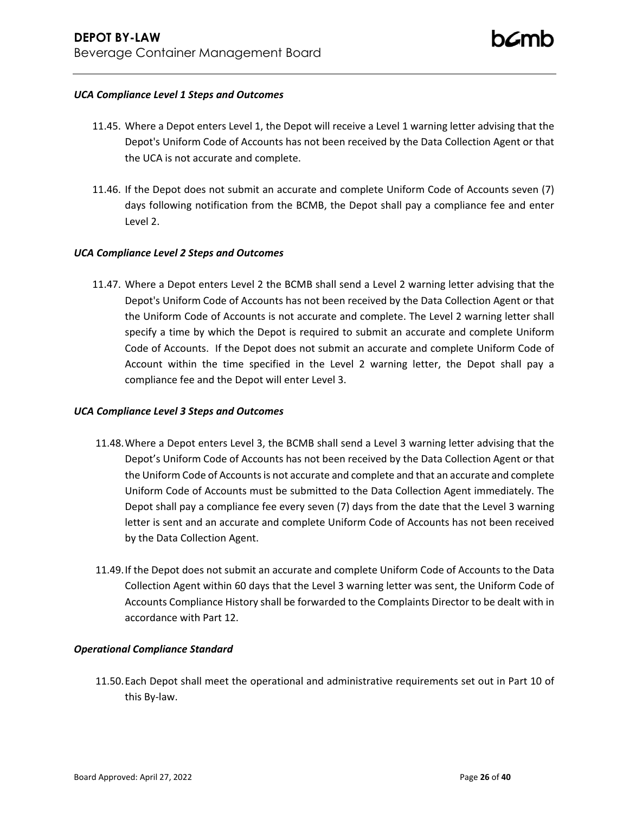## *UCA Compliance Level 1 Steps and Outcomes*

- 11.45. Where a Depot enters Level 1, the Depot will receive a Level 1 warning letter advising that the Depot's Uniform Code of Accounts has not been received by the Data Collection Agent or that the UCA is not accurate and complete.
- 11.46. If the Depot does not submit an accurate and complete Uniform Code of Accounts seven (7) days following notification from the BCMB, the Depot shall pay a compliance fee and enter Level 2.

## *UCA Compliance Level 2 Steps and Outcomes*

11.47. Where a Depot enters Level 2 the BCMB shall send a Level 2 warning letter advising that the Depot's Uniform Code of Accounts has not been received by the Data Collection Agent or that the Uniform Code of Accounts is not accurate and complete. The Level 2 warning letter shall specify a time by which the Depot is required to submit an accurate and complete Uniform Code of Accounts. If the Depot does not submit an accurate and complete Uniform Code of Account within the time specified in the Level 2 warning letter, the Depot shall pay a compliance fee and the Depot will enter Level 3.

### *UCA Compliance Level 3 Steps and Outcomes*

- 11.48.Where a Depot enters Level 3, the BCMB shall send a Level 3 warning letter advising that the Depot's Uniform Code of Accounts has not been received by the Data Collection Agent or that the Uniform Code of Accounts is not accurate and complete and that an accurate and complete Uniform Code of Accounts must be submitted to the Data Collection Agent immediately. The Depot shall pay a compliance fee every seven (7) days from the date that the Level 3 warning letter is sent and an accurate and complete Uniform Code of Accounts has not been received by the Data Collection Agent.
- 11.49.If the Depot does not submit an accurate and complete Uniform Code of Accounts to the Data Collection Agent within 60 days that the Level 3 warning letter was sent, the Uniform Code of Accounts Compliance History shall be forwarded to the Complaints Director to be dealt with in accordance with Part 12.

## *Operational Compliance Standard*

11.50.Each Depot shall meet the operational and administrative requirements set out in Part 10 of this By-law.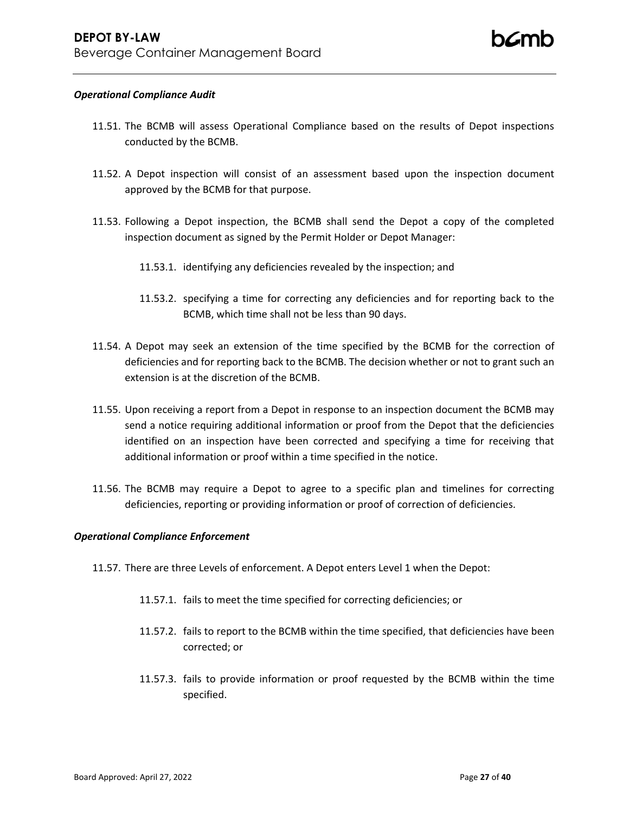### *Operational Compliance Audit*

- 11.51. The BCMB will assess Operational Compliance based on the results of Depot inspections conducted by the BCMB.
- 11.52. A Depot inspection will consist of an assessment based upon the inspection document approved by the BCMB for that purpose.
- 11.53. Following a Depot inspection, the BCMB shall send the Depot a copy of the completed inspection document as signed by the Permit Holder or Depot Manager:
	- 11.53.1. identifying any deficiencies revealed by the inspection; and
	- 11.53.2. specifying a time for correcting any deficiencies and for reporting back to the BCMB, which time shall not be less than 90 days.
- 11.54. A Depot may seek an extension of the time specified by the BCMB for the correction of deficiencies and for reporting back to the BCMB. The decision whether or not to grant such an extension is at the discretion of the BCMB.
- 11.55. Upon receiving a report from a Depot in response to an inspection document the BCMB may send a notice requiring additional information or proof from the Depot that the deficiencies identified on an inspection have been corrected and specifying a time for receiving that additional information or proof within a time specified in the notice.
- 11.56. The BCMB may require a Depot to agree to a specific plan and timelines for correcting deficiencies, reporting or providing information or proof of correction of deficiencies.

### *Operational Compliance Enforcement*

- 11.57. There are three Levels of enforcement. A Depot enters Level 1 when the Depot:
	- 11.57.1. fails to meet the time specified for correcting deficiencies; or
	- 11.57.2. fails to report to the BCMB within the time specified, that deficiencies have been corrected; or
	- 11.57.3. fails to provide information or proof requested by the BCMB within the time specified.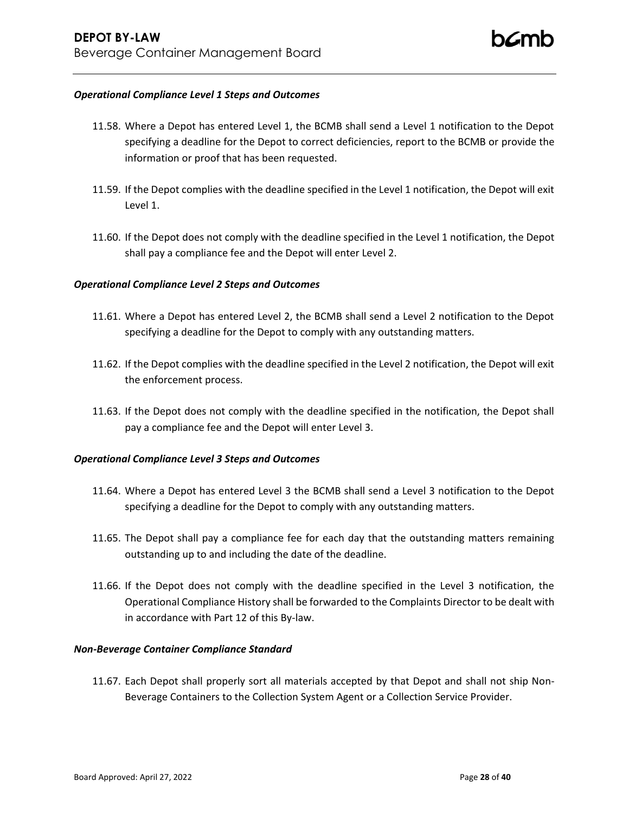### *Operational Compliance Level 1 Steps and Outcomes*

- 11.58. Where a Depot has entered Level 1, the BCMB shall send a Level 1 notification to the Depot specifying a deadline for the Depot to correct deficiencies, report to the BCMB or provide the information or proof that has been requested.
- 11.59. If the Depot complies with the deadline specified in the Level 1 notification, the Depot will exit Level 1.
- 11.60. If the Depot does not comply with the deadline specified in the Level 1 notification, the Depot shall pay a compliance fee and the Depot will enter Level 2.

## *Operational Compliance Level 2 Steps and Outcomes*

- 11.61. Where a Depot has entered Level 2, the BCMB shall send a Level 2 notification to the Depot specifying a deadline for the Depot to comply with any outstanding matters.
- 11.62. If the Depot complies with the deadline specified in the Level 2 notification, the Depot will exit the enforcement process.
- 11.63. If the Depot does not comply with the deadline specified in the notification, the Depot shall pay a compliance fee and the Depot will enter Level 3.

### *Operational Compliance Level 3 Steps and Outcomes*

- 11.64. Where a Depot has entered Level 3 the BCMB shall send a Level 3 notification to the Depot specifying a deadline for the Depot to comply with any outstanding matters.
- 11.65. The Depot shall pay a compliance fee for each day that the outstanding matters remaining outstanding up to and including the date of the deadline.
- 11.66. If the Depot does not comply with the deadline specified in the Level 3 notification, the Operational Compliance History shall be forwarded to the Complaints Director to be dealt with in accordance with Part 12 of this By-law.

### *Non-Beverage Container Compliance Standard*

11.67. Each Depot shall properly sort all materials accepted by that Depot and shall not ship Non-Beverage Containers to the Collection System Agent or a Collection Service Provider.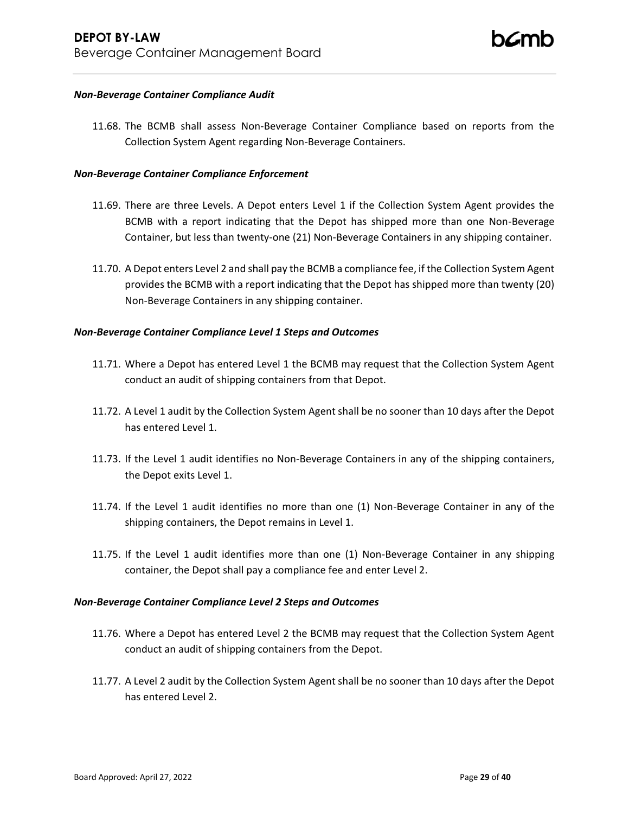### *Non-Beverage Container Compliance Audit*

11.68. The BCMB shall assess Non-Beverage Container Compliance based on reports from the Collection System Agent regarding Non-Beverage Containers.

### *Non-Beverage Container Compliance Enforcement*

- 11.69. There are three Levels. A Depot enters Level 1 if the Collection System Agent provides the BCMB with a report indicating that the Depot has shipped more than one Non-Beverage Container, but less than twenty-one (21) Non-Beverage Containers in any shipping container.
- 11.70. A Depot enters Level 2 and shall pay the BCMB a compliance fee, if the Collection System Agent provides the BCMB with a report indicating that the Depot has shipped more than twenty (20) Non-Beverage Containers in any shipping container.

## *Non-Beverage Container Compliance Level 1 Steps and Outcomes*

- 11.71. Where a Depot has entered Level 1 the BCMB may request that the Collection System Agent conduct an audit of shipping containers from that Depot.
- 11.72. A Level 1 audit by the Collection System Agent shall be no sooner than 10 days after the Depot has entered Level 1.
- 11.73. If the Level 1 audit identifies no Non-Beverage Containers in any of the shipping containers, the Depot exits Level 1.
- 11.74. If the Level 1 audit identifies no more than one (1) Non-Beverage Container in any of the shipping containers, the Depot remains in Level 1.
- 11.75. If the Level 1 audit identifies more than one (1) Non-Beverage Container in any shipping container, the Depot shall pay a compliance fee and enter Level 2.

### *Non-Beverage Container Compliance Level 2 Steps and Outcomes*

- 11.76. Where a Depot has entered Level 2 the BCMB may request that the Collection System Agent conduct an audit of shipping containers from the Depot.
- 11.77. A Level 2 audit by the Collection System Agent shall be no sooner than 10 days after the Depot has entered Level 2.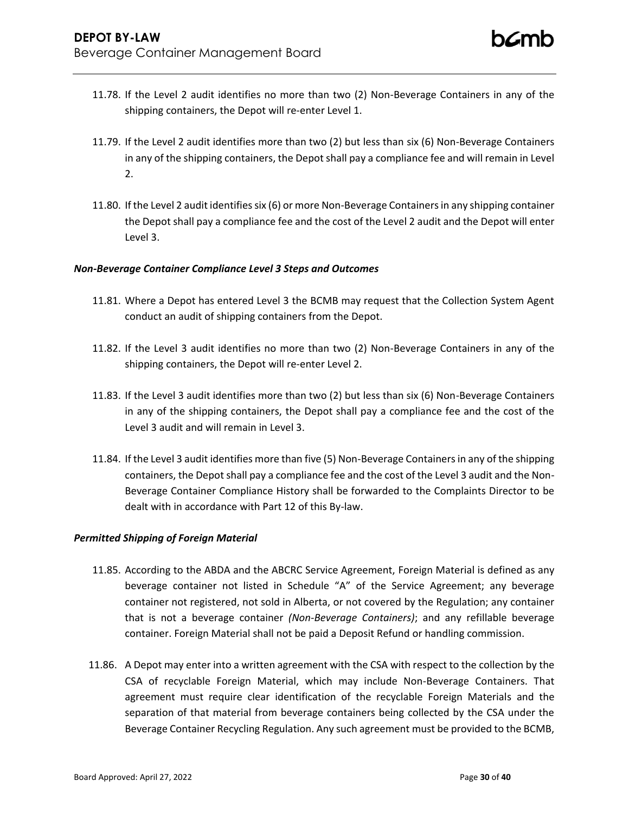- 11.78. If the Level 2 audit identifies no more than two (2) Non-Beverage Containers in any of the shipping containers, the Depot will re-enter Level 1.
- 11.79. If the Level 2 audit identifies more than two (2) but less than six (6) Non-Beverage Containers in any of the shipping containers, the Depot shall pay a compliance fee and will remain in Level 2.
- 11.80. If the Level 2 audit identifies six (6) or more Non-Beverage Containers in any shipping container the Depot shall pay a compliance fee and the cost of the Level 2 audit and the Depot will enter Level 3.

## *Non-Beverage Container Compliance Level 3 Steps and Outcomes*

- 11.81. Where a Depot has entered Level 3 the BCMB may request that the Collection System Agent conduct an audit of shipping containers from the Depot.
- 11.82. If the Level 3 audit identifies no more than two (2) Non-Beverage Containers in any of the shipping containers, the Depot will re-enter Level 2.
- 11.83. If the Level 3 audit identifies more than two (2) but less than six (6) Non-Beverage Containers in any of the shipping containers, the Depot shall pay a compliance fee and the cost of the Level 3 audit and will remain in Level 3.
- 11.84. If the Level 3 audit identifies more than five (5) Non-Beverage Containers in any of the shipping containers, the Depot shall pay a compliance fee and the cost of the Level 3 audit and the Non-Beverage Container Compliance History shall be forwarded to the Complaints Director to be dealt with in accordance with Part 12 of this By-law.

### *Permitted Shipping of Foreign Material*

- 11.85. According to the ABDA and the ABCRC Service Agreement, Foreign Material is defined as any beverage container not listed in Schedule "A" of the Service Agreement; any beverage container not registered, not sold in Alberta, or not covered by the Regulation; any container that is not a beverage container *(Non-Beverage Containers)*; and any refillable beverage container. Foreign Material shall not be paid a Deposit Refund or handling commission.
- 11.86. A Depot may enter into a written agreement with the CSA with respect to the collection by the CSA of recyclable Foreign Material, which may include Non-Beverage Containers. That agreement must require clear identification of the recyclable Foreign Materials and the separation of that material from beverage containers being collected by the CSA under the Beverage Container Recycling Regulation. Any such agreement must be provided to the BCMB,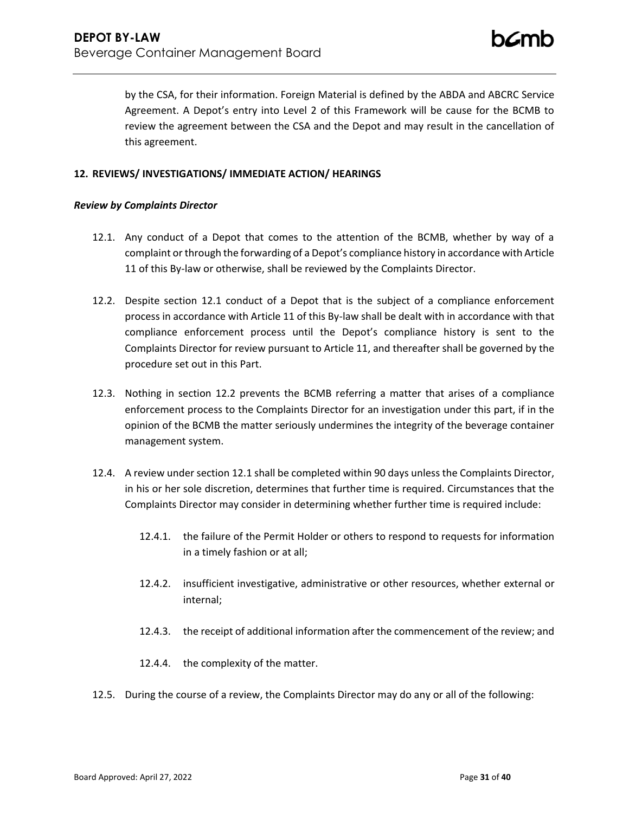by the CSA, for their information. Foreign Material is defined by the ABDA and ABCRC Service Agreement. A Depot's entry into Level 2 of this Framework will be cause for the BCMB to review the agreement between the CSA and the Depot and may result in the cancellation of this agreement.

## **12. REVIEWS/ INVESTIGATIONS/ IMMEDIATE ACTION/ HEARINGS**

## *Review by Complaints Director*

- <span id="page-30-0"></span>12.1. Any conduct of a Depot that comes to the attention of the BCMB, whether by way of a complaint or through the forwarding of a Depot's compliance history in accordance with Article 11 of this By-law or otherwise, shall be reviewed by the Complaints Director.
- <span id="page-30-1"></span>12.2. Despite section [12.1](#page-30-0) conduct of a Depot that is the subject of a compliance enforcement process in accordance with Article 11 of this By-law shall be dealt with in accordance with that compliance enforcement process until the Depot's compliance history is sent to the Complaints Director for review pursuant to Article 11, and thereafter shall be governed by the procedure set out in this Part.
- 12.3. Nothing in section [12.2](#page-30-1) prevents the BCMB referring a matter that arises of a compliance enforcement process to the Complaints Director for an investigation under this part, if in the opinion of the BCMB the matter seriously undermines the integrity of the beverage container management system.
- 12.4. A review under section [12.1](#page-30-0) shall be completed within 90 days unless the Complaints Director, in his or her sole discretion, determines that further time is required. Circumstances that the Complaints Director may consider in determining whether further time is required include:
	- 12.4.1. the failure of the Permit Holder or others to respond to requests for information in a timely fashion or at all;
	- 12.4.2. insufficient investigative, administrative or other resources, whether external or internal;
	- 12.4.3. the receipt of additional information after the commencement of the review; and
	- 12.4.4. the complexity of the matter.
- 12.5. During the course of a review, the Complaints Director may do any or all of the following: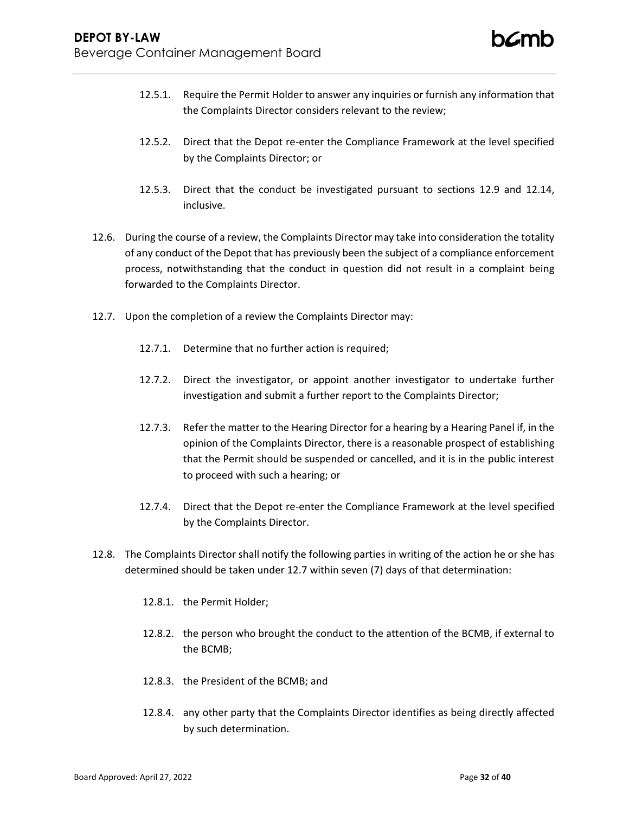- 12.5.1. Require the Permit Holder to answer any inquiries or furnish any information that the Complaints Director considers relevant to the review;
- 12.5.2. Direct that the Depot re-enter the Compliance Framework at the level specified by the Complaints Director; or
- 12.5.3. Direct that the conduct be investigated pursuant to sections [12.9](#page-32-0) and 12.14, inclusive.
- 12.6. During the course of a review, the Complaints Director may take into consideration the totality of any conduct of the Depot that has previously been the subject of a compliance enforcement process, notwithstanding that the conduct in question did not result in a complaint being forwarded to the Complaints Director.
- <span id="page-31-0"></span>12.7. Upon the completion of a review the Complaints Director may:
	- 12.7.1. Determine that no further action is required;
	- 12.7.2. Direct the investigator, or appoint another investigator to undertake further investigation and submit a further report to the Complaints Director;
	- 12.7.3. Refer the matter to the Hearing Director for a hearing by a Hearing Panel if, in the opinion of the Complaints Director, there is a reasonable prospect of establishing that the Permit should be suspended or cancelled, and it is in the public interest to proceed with such a hearing; or
	- 12.7.4. Direct that the Depot re-enter the Compliance Framework at the level specified by the Complaints Director.
- 12.8. The Complaints Director shall notify the following parties in writing of the action he or she has determined should be taken unde[r 12.7](#page-31-0) within seven (7) days of that determination:
	- 12.8.1. the Permit Holder;
	- 12.8.2. the person who brought the conduct to the attention of the BCMB, if external to the BCMB;
	- 12.8.3. the President of the BCMB; and
	- 12.8.4. any other party that the Complaints Director identifies as being directly affected by such determination.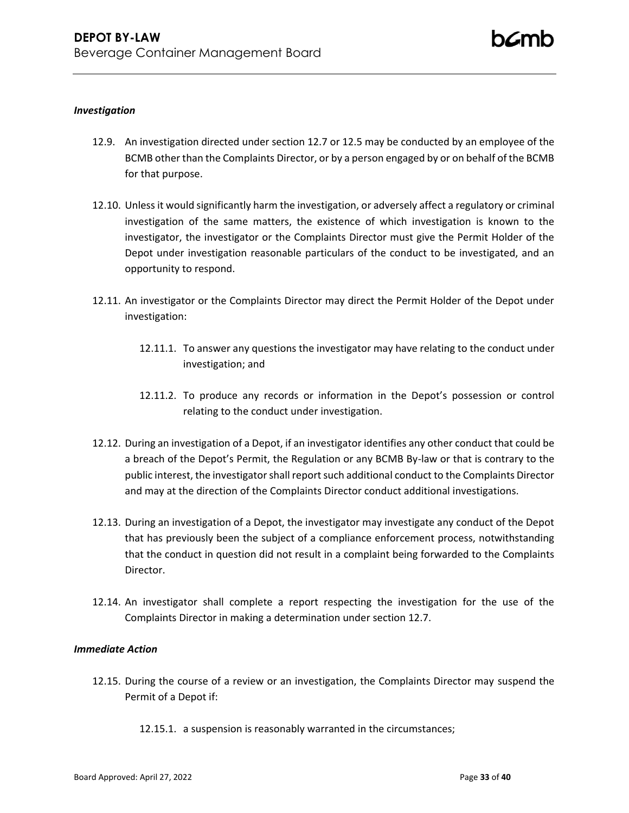## *Investigation*

- <span id="page-32-0"></span>12.9. An investigation directed under section [12.7](#page-31-0) or 12.5 may be conducted by an employee of the BCMB other than the Complaints Director, or by a person engaged by or on behalf of the BCMB for that purpose.
- 12.10. Unless it would significantly harm the investigation, or adversely affect a regulatory or criminal investigation of the same matters, the existence of which investigation is known to the investigator, the investigator or the Complaints Director must give the Permit Holder of the Depot under investigation reasonable particulars of the conduct to be investigated, and an opportunity to respond.
- 12.11. An investigator or the Complaints Director may direct the Permit Holder of the Depot under investigation:
	- 12.11.1. To answer any questions the investigator may have relating to the conduct under investigation; and
	- 12.11.2. To produce any records or information in the Depot's possession or control relating to the conduct under investigation.
- 12.12. During an investigation of a Depot, if an investigator identifies any other conduct that could be a breach of the Depot's Permit, the Regulation or any BCMB By-law or that is contrary to the public interest, the investigator shall report such additional conduct to the Complaints Director and may at the direction of the Complaints Director conduct additional investigations.
- 12.13. During an investigation of a Depot, the investigator may investigate any conduct of the Depot that has previously been the subject of a compliance enforcement process, notwithstanding that the conduct in question did not result in a complaint being forwarded to the Complaints Director.
- 12.14. An investigator shall complete a report respecting the investigation for the use of the Complaints Director in making a determination under section 12.7.

## *Immediate Action*

- <span id="page-32-1"></span>12.15. During the course of a review or an investigation, the Complaints Director may suspend the Permit of a Depot if:
	- 12.15.1. a suspension is reasonably warranted in the circumstances;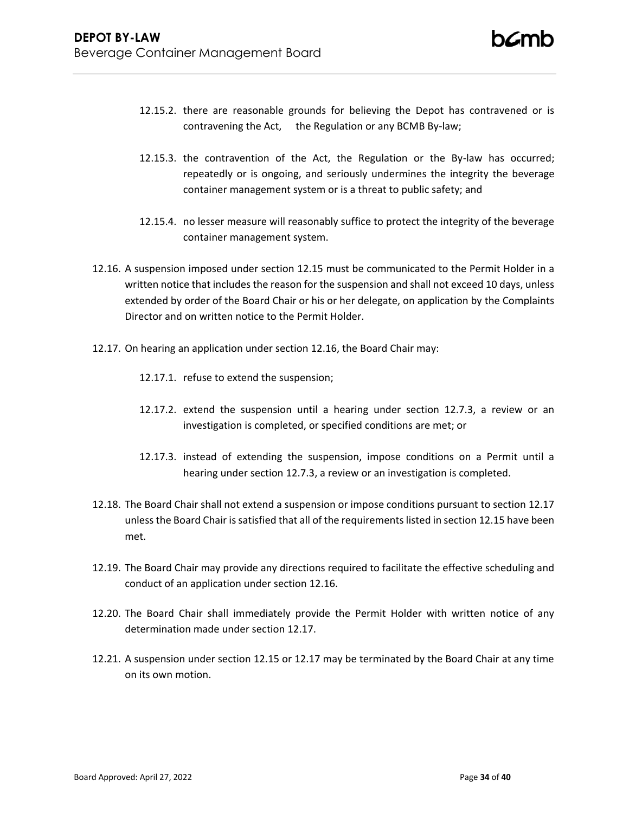- 12.15.2. there are reasonable grounds for believing the Depot has contravened or is contravening the Act, the Regulation or any BCMB By-law;
- 12.15.3. the contravention of the Act, the Regulation or the By-law has occurred; repeatedly or is ongoing, and seriously undermines the integrity the beverage container management system or is a threat to public safety; and
- 12.15.4. no lesser measure will reasonably suffice to protect the integrity of the beverage container management system.
- <span id="page-33-0"></span>12.16. A suspension imposed under section [12.15](#page-32-1) must be communicated to the Permit Holder in a written notice that includes the reason for the suspension and shall not exceed 10 days, unless extended by order of the Board Chair or his or her delegate, on application by the Complaints Director and on written notice to the Permit Holder.
- 12.17. On hearing an application under section [12.16,](#page-33-0) the Board Chair may:
	- 12.17.1. refuse to extend the suspension;
	- 12.17.2. extend the suspension until a hearing under section 12.7.3, a review or an investigation is completed, or specified conditions are met; or
	- 12.17.3. instead of extending the suspension, impose conditions on a Permit until a hearing under section 12.7.3, a review or an investigation is completed.
- 12.18. The Board Chair shall not extend a suspension or impose conditions pursuant to section 12.17 unless the Board Chair is satisfied that all of the requirements listed in section 12.15 have been met.
- 12.19. The Board Chair may provide any directions required to facilitate the effective scheduling and conduct of an application under section 12.16.
- 12.20. The Board Chair shall immediately provide the Permit Holder with written notice of any determination made under section 12.17.
- 12.21. A suspension under section 12.15 or 12.17 may be terminated by the Board Chair at any time on its own motion.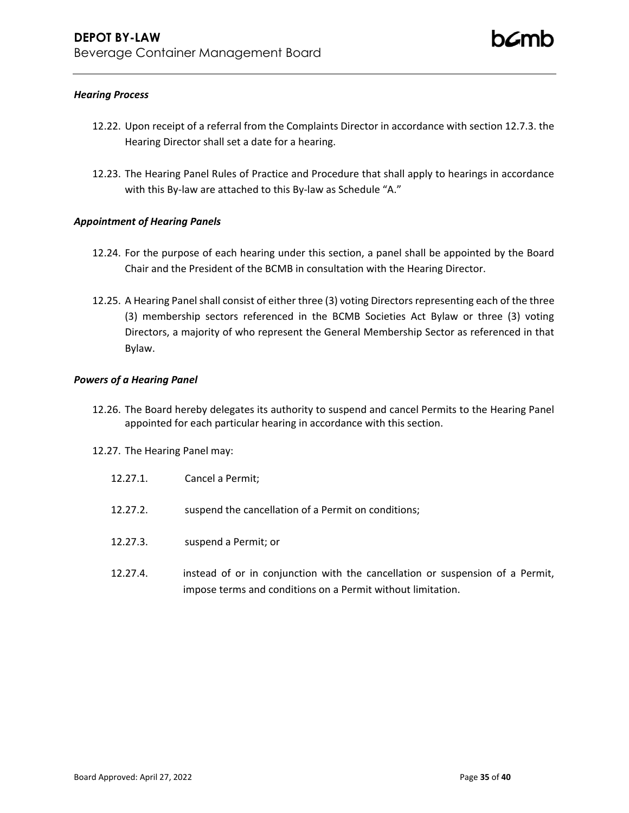## *Hearing Process*

- 12.22. Upon receipt of a referral from the Complaints Director in accordance with section 12.7.3. the Hearing Director shall set a date for a hearing.
- 12.23. The Hearing Panel Rules of Practice and Procedure that shall apply to hearings in accordance with this By-law are attached to this By-law as Schedule "A."

## *Appointment of Hearing Panels*

- 12.24. For the purpose of each hearing under this section, a panel shall be appointed by the Board Chair and the President of the BCMB in consultation with the Hearing Director.
- 12.25. A Hearing Panel shall consist of either three (3) voting Directors representing each of the three (3) membership sectors referenced in the BCMB Societies Act Bylaw or three (3) voting Directors, a majority of who represent the General Membership Sector as referenced in that Bylaw.

### *Powers of a Hearing Panel*

- 12.26. The Board hereby delegates its authority to suspend and cancel Permits to the Hearing Panel appointed for each particular hearing in accordance with this section.
- 12.27. The Hearing Panel may:
	- 12.27.1. Cancel a Permit;
	- 12.27.2. suspend the cancellation of a Permit on conditions;
	- 12.27.3. suspend a Permit; or
	- 12.27.4. instead of or in conjunction with the cancellation or suspension of a Permit, impose terms and conditions on a Permit without limitation.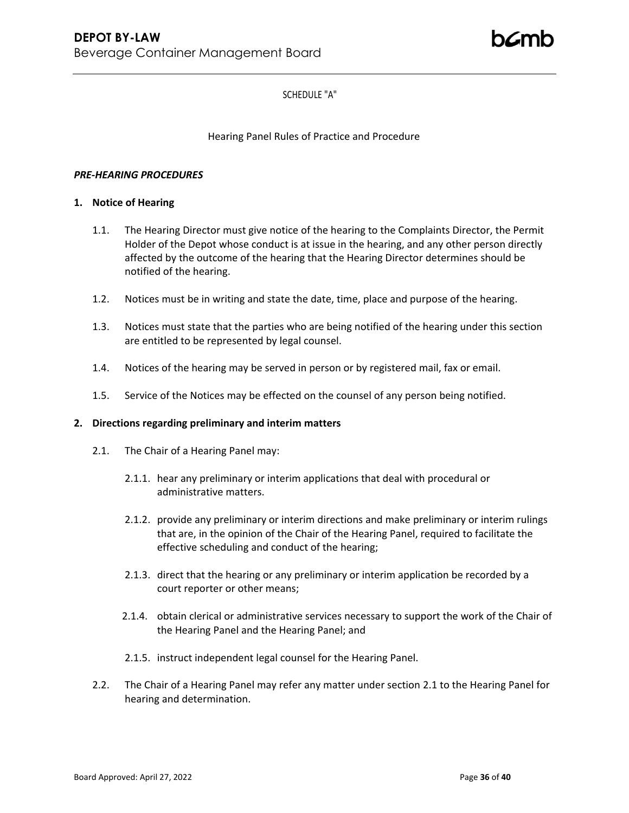## SCHEDULE "A"

## Hearing Panel Rules of Practice and Procedure

### *PRE-HEARING PROCEDURES*

## **1. Notice of Hearing**

- 1.1. The Hearing Director must give notice of the hearing to the Complaints Director, the Permit Holder of the Depot whose conduct is at issue in the hearing, and any other person directly affected by the outcome of the hearing that the Hearing Director determines should be notified of the hearing.
- 1.2. Notices must be in writing and state the date, time, place and purpose of the hearing.
- 1.3. Notices must state that the parties who are being notified of the hearing under this section are entitled to be represented by legal counsel.
- 1.4. Notices of the hearing may be served in person or by registered mail, fax or email.
- 1.5. Service of the Notices may be effected on the counsel of any person being notified.

### **2. Directions regarding preliminary and interim matters**

- 2.1. The Chair of a Hearing Panel may:
	- 2.1.1. hear any preliminary or interim applications that deal with procedural or administrative matters.
	- 2.1.2. provide any preliminary or interim directions and make preliminary or interim rulings that are, in the opinion of the Chair of the Hearing Panel, required to facilitate the effective scheduling and conduct of the hearing;
	- 2.1.3. direct that the hearing or any preliminary or interim application be recorded by a court reporter or other means;
	- 2.1.4. obtain clerical or administrative services necessary to support the work of the Chair of the Hearing Panel and the Hearing Panel; and
	- 2.1.5. instruct independent legal counsel for the Hearing Panel.
- 2.2. The Chair of a Hearing Panel may refer any matter under section 2.1 to the Hearing Panel for hearing and determination.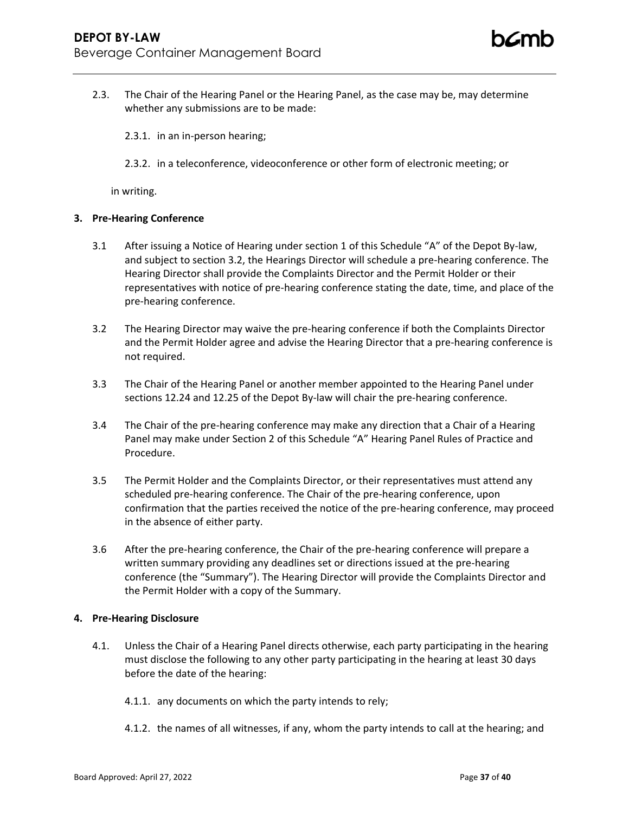2.3. The Chair of the Hearing Panel or the Hearing Panel, as the case may be, may determine whether any submissions are to be made:

2.3.1. in an in-person hearing;

2.3.2. in a teleconference, videoconference or other form of electronic meeting; or

in writing.

### **3. Pre-Hearing Conference**

- 3.1 After issuing a Notice of Hearing under section 1 of this Schedule "A" of the Depot By-law, and subject to section 3.2, the Hearings Director will schedule a pre-hearing conference. The Hearing Director shall provide the Complaints Director and the Permit Holder or their representatives with notice of pre-hearing conference stating the date, time, and place of the pre-hearing conference.
- 3.2 The Hearing Director may waive the pre-hearing conference if both the Complaints Director and the Permit Holder agree and advise the Hearing Director that a pre-hearing conference is not required.
- 3.3 The Chair of the Hearing Panel or another member appointed to the Hearing Panel under sections 12.24 and 12.25 of the Depot By-law will chair the pre-hearing conference.
- 3.4 The Chair of the pre-hearing conference may make any direction that a Chair of a Hearing Panel may make under Section 2 of this Schedule "A" Hearing Panel Rules of Practice and Procedure.
- 3.5 The Permit Holder and the Complaints Director, or their representatives must attend any scheduled pre-hearing conference. The Chair of the pre-hearing conference, upon confirmation that the parties received the notice of the pre-hearing conference, may proceed in the absence of either party.
- 3.6 After the pre-hearing conference, the Chair of the pre-hearing conference will prepare a written summary providing any deadlines set or directions issued at the pre-hearing conference (the "Summary"). The Hearing Director will provide the Complaints Director and the Permit Holder with a copy of the Summary.

### **4. Pre-Hearing Disclosure**

- 4.1. Unless the Chair of a Hearing Panel directs otherwise, each party participating in the hearing must disclose the following to any other party participating in the hearing at least 30 days before the date of the hearing:
	- 4.1.1. any documents on which the party intends to rely;
	- 4.1.2. the names of all witnesses, if any, whom the party intends to call at the hearing; and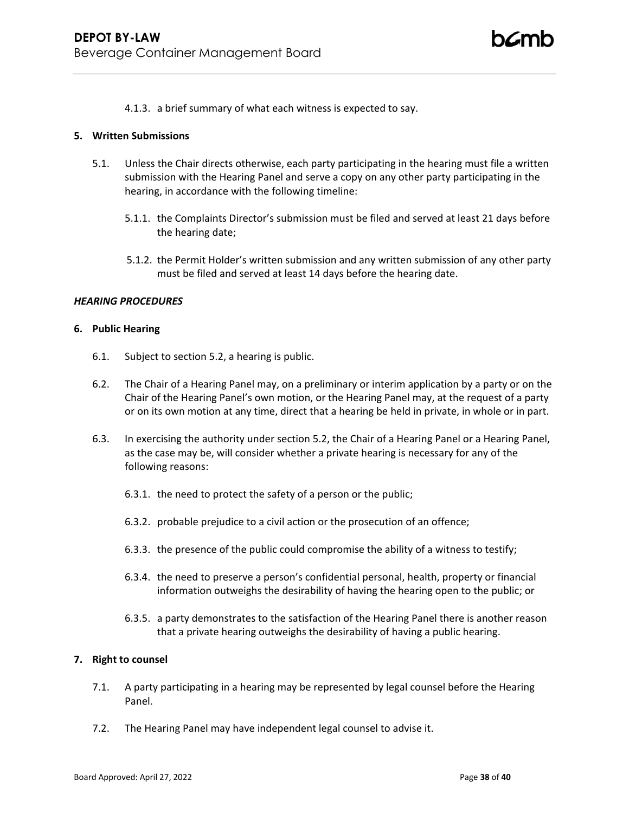4.1.3. a brief summary of what each witness is expected to say.

### **5. Written Submissions**

- 5.1. Unless the Chair directs otherwise, each party participating in the hearing must file a written submission with the Hearing Panel and serve a copy on any other party participating in the hearing, in accordance with the following timeline:
	- 5.1.1. the Complaints Director's submission must be filed and served at least 21 days before the hearing date;
	- 5.1.2. the Permit Holder's written submission and any written submission of any other party must be filed and served at least 14 days before the hearing date.

## *HEARING PROCEDURES*

### **6. Public Hearing**

- 6.1. Subject to section 5.2, a hearing is public.
- 6.2. The Chair of a Hearing Panel may, on a preliminary or interim application by a party or on the Chair of the Hearing Panel's own motion, or the Hearing Panel may, at the request of a party or on its own motion at any time, direct that a hearing be held in private, in whole or in part.
- 6.3. In exercising the authority under section 5.2, the Chair of a Hearing Panel or a Hearing Panel, as the case may be, will consider whether a private hearing is necessary for any of the following reasons:
	- 6.3.1. the need to protect the safety of a person or the public;
	- 6.3.2. probable prejudice to a civil action or the prosecution of an offence;
	- 6.3.3. the presence of the public could compromise the ability of a witness to testify;
	- 6.3.4. the need to preserve a person's confidential personal, health, property or financial information outweighs the desirability of having the hearing open to the public; or
	- 6.3.5. a party demonstrates to the satisfaction of the Hearing Panel there is another reason that a private hearing outweighs the desirability of having a public hearing.

### **7. Right to counsel**

- 7.1. A party participating in a hearing may be represented by legal counsel before the Hearing Panel.
- 7.2. The Hearing Panel may have independent legal counsel to advise it.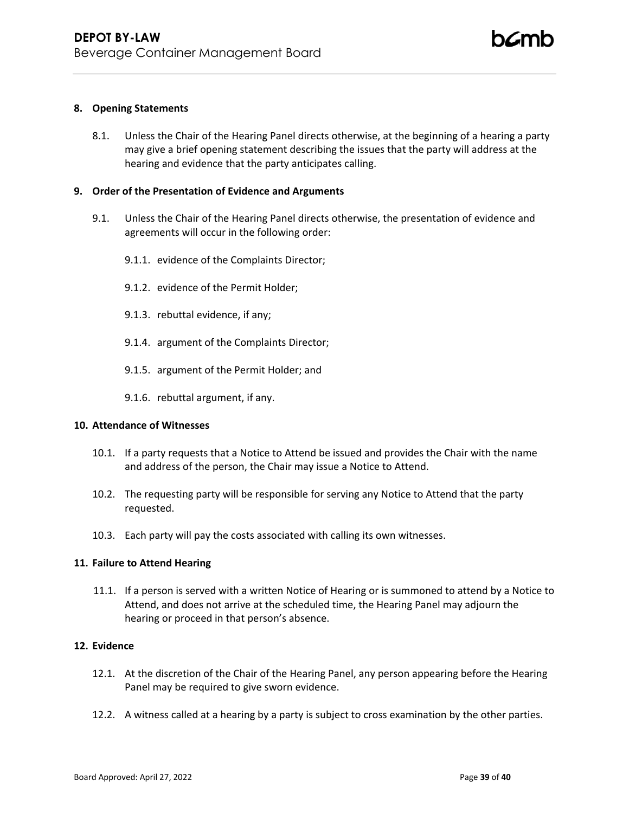### **8. Opening Statements**

8.1. Unless the Chair of the Hearing Panel directs otherwise, at the beginning of a hearing a party may give a brief opening statement describing the issues that the party will address at the hearing and evidence that the party anticipates calling.

### **9. Order of the Presentation of Evidence and Arguments**

- 9.1. Unless the Chair of the Hearing Panel directs otherwise, the presentation of evidence and agreements will occur in the following order:
	- 9.1.1. evidence of the Complaints Director;
	- 9.1.2. evidence of the Permit Holder;
	- 9.1.3. rebuttal evidence, if any;
	- 9.1.4. argument of the Complaints Director;
	- 9.1.5. argument of the Permit Holder; and
	- 9.1.6. rebuttal argument, if any.

### **10. Attendance of Witnesses**

- 10.1. If a party requests that a Notice to Attend be issued and provides the Chair with the name and address of the person, the Chair may issue a Notice to Attend.
- 10.2. The requesting party will be responsible for serving any Notice to Attend that the party requested.
- 10.3. Each party will pay the costs associated with calling its own witnesses.

### **11. Failure to Attend Hearing**

11.1. If a person is served with a written Notice of Hearing or is summoned to attend by a Notice to Attend, and does not arrive at the scheduled time, the Hearing Panel may adjourn the hearing or proceed in that person's absence.

### **12. Evidence**

- 12.1. At the discretion of the Chair of the Hearing Panel, any person appearing before the Hearing Panel may be required to give sworn evidence.
- 12.2. A witness called at a hearing by a party is subject to cross examination by the other parties.